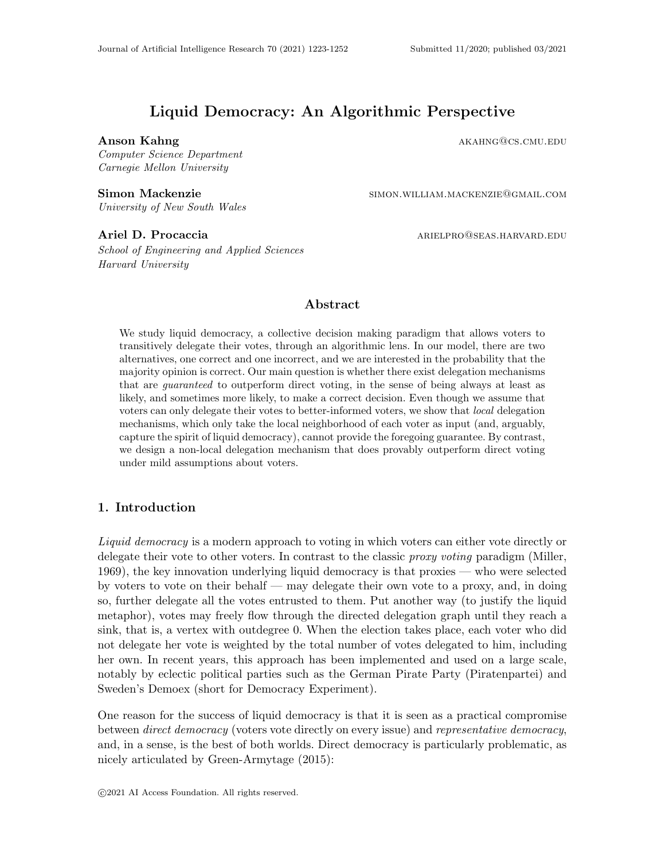# Liquid Democracy: An Algorithmic Perspective

Anson Kahng and a strong and a strong and a strong and a strong and a strong and a strong and a strong and a strong and a strong and a strong and a strong and a strong and a strong and a strong and a strong and a strong an

Computer Science Department Carnegie Mellon University

Simon Mackenzie simon.william.mackenzie@gmail.com University of New South Wales

Ariel D. Procaccia and ariel ariel ariel ariel ariel ariel ariel ariel ariel ariel ariel ariel ariel ariel ariel ariel ariel ariel ariel ariel ariel ariel ariel ariel ariel ariel ariel ariel ariel ariel ariel ariel ariel a

School of Engineering and Applied Sciences Harvard University

## Abstract

We study liquid democracy, a collective decision making paradigm that allows voters to transitively delegate their votes, through an algorithmic lens. In our model, there are two alternatives, one correct and one incorrect, and we are interested in the probability that the majority opinion is correct. Our main question is whether there exist delegation mechanisms that are guaranteed to outperform direct voting, in the sense of being always at least as likely, and sometimes more likely, to make a correct decision. Even though we assume that voters can only delegate their votes to better-informed voters, we show that local delegation mechanisms, which only take the local neighborhood of each voter as input (and, arguably, capture the spirit of liquid democracy), cannot provide the foregoing guarantee. By contrast, we design a non-local delegation mechanism that does provably outperform direct voting under mild assumptions about voters.

## 1. Introduction

Liquid democracy is a modern approach to voting in which voters can either vote directly or delegate their vote to other voters. In contrast to the classic *proxy voting* paradigm (Miller, 1969), the key innovation underlying liquid democracy is that proxies — who were selected by voters to vote on their behalf — may delegate their own vote to a proxy, and, in doing so, further delegate all the votes entrusted to them. Put another way (to justify the liquid metaphor), votes may freely flow through the directed delegation graph until they reach a sink, that is, a vertex with outdegree 0. When the election takes place, each voter who did not delegate her vote is weighted by the total number of votes delegated to him, including her own. In recent years, this approach has been implemented and used on a large scale, notably by eclectic political parties such as the German Pirate Party (Piratenpartei) and Sweden's Demoex (short for Democracy Experiment).

One reason for the success of liquid democracy is that it is seen as a practical compromise between *direct democracy* (voters vote directly on every issue) and *representative democracy*, and, in a sense, is the best of both worlds. Direct democracy is particularly problematic, as nicely articulated by Green-Armytage (2015):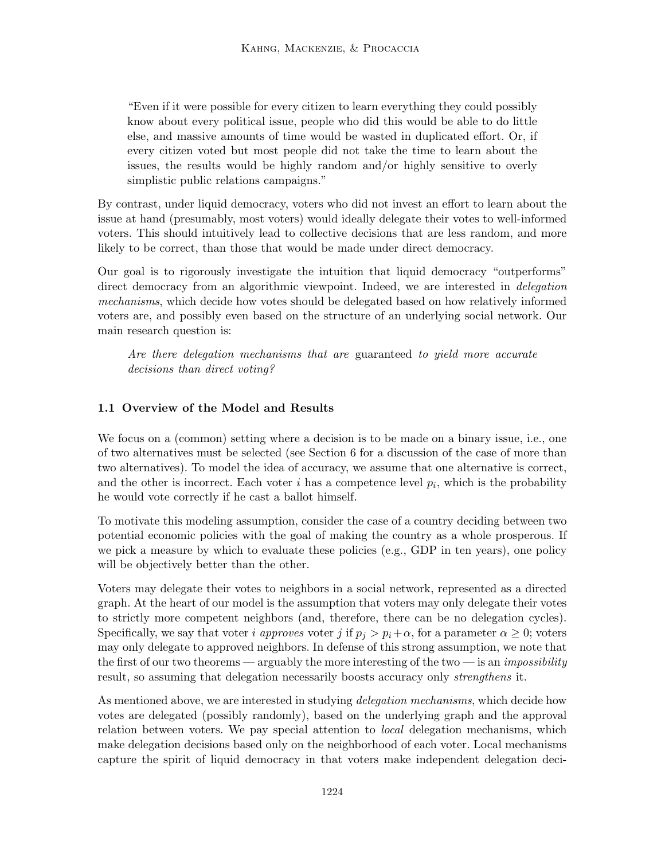"Even if it were possible for every citizen to learn everything they could possibly know about every political issue, people who did this would be able to do little else, and massive amounts of time would be wasted in duplicated effort. Or, if every citizen voted but most people did not take the time to learn about the issues, the results would be highly random and/or highly sensitive to overly simplistic public relations campaigns."

By contrast, under liquid democracy, voters who did not invest an effort to learn about the issue at hand (presumably, most voters) would ideally delegate their votes to well-informed voters. This should intuitively lead to collective decisions that are less random, and more likely to be correct, than those that would be made under direct democracy.

Our goal is to rigorously investigate the intuition that liquid democracy "outperforms" direct democracy from an algorithmic viewpoint. Indeed, we are interested in *delegation* mechanisms, which decide how votes should be delegated based on how relatively informed voters are, and possibly even based on the structure of an underlying social network. Our main research question is:

Are there delegation mechanisms that are guaranteed to yield more accurate decisions than direct voting?

## 1.1 Overview of the Model and Results

We focus on a (common) setting where a decision is to be made on a binary issue, i.e., one of two alternatives must be selected (see Section 6 for a discussion of the case of more than two alternatives). To model the idea of accuracy, we assume that one alternative is correct, and the other is incorrect. Each voter  $i$  has a competence level  $p_i$ , which is the probability he would vote correctly if he cast a ballot himself.

To motivate this modeling assumption, consider the case of a country deciding between two potential economic policies with the goal of making the country as a whole prosperous. If we pick a measure by which to evaluate these policies (e.g., GDP in ten years), one policy will be objectively better than the other.

Voters may delegate their votes to neighbors in a social network, represented as a directed graph. At the heart of our model is the assumption that voters may only delegate their votes to strictly more competent neighbors (and, therefore, there can be no delegation cycles). Specifically, we say that voter *i approves* voter *j* if  $p_i > p_i + \alpha$ , for a parameter  $\alpha \geq 0$ ; voters may only delegate to approved neighbors. In defense of this strong assumption, we note that the first of our two theorems — arguably the more interesting of the two — is an *impossibility* result, so assuming that delegation necessarily boosts accuracy only *strengthens* it.

As mentioned above, we are interested in studying *delegation mechanisms*, which decide how votes are delegated (possibly randomly), based on the underlying graph and the approval relation between voters. We pay special attention to *local* delegation mechanisms, which make delegation decisions based only on the neighborhood of each voter. Local mechanisms capture the spirit of liquid democracy in that voters make independent delegation deci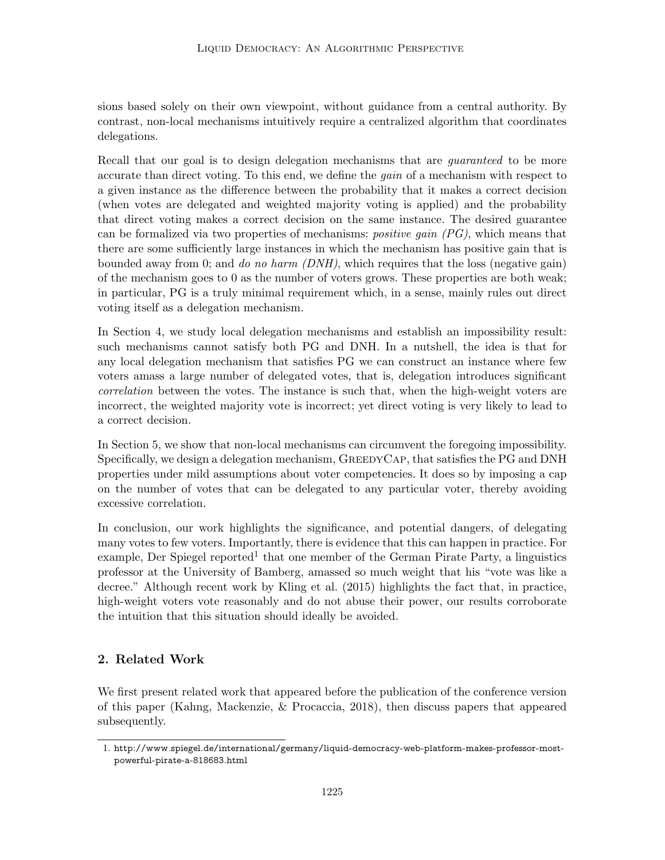sions based solely on their own viewpoint, without guidance from a central authority. By contrast, non-local mechanisms intuitively require a centralized algorithm that coordinates delegations.

Recall that our goal is to design delegation mechanisms that are *guaranteed* to be more accurate than direct voting. To this end, we define the gain of a mechanism with respect to a given instance as the difference between the probability that it makes a correct decision (when votes are delegated and weighted majority voting is applied) and the probability that direct voting makes a correct decision on the same instance. The desired guarantee can be formalized via two properties of mechanisms: *positive gain*  $(PG)$ , which means that there are some sufficiently large instances in which the mechanism has positive gain that is bounded away from 0; and do no harm  $(DNH)$ , which requires that the loss (negative gain) of the mechanism goes to 0 as the number of voters grows. These properties are both weak; in particular, PG is a truly minimal requirement which, in a sense, mainly rules out direct voting itself as a delegation mechanism.

In Section 4, we study local delegation mechanisms and establish an impossibility result: such mechanisms cannot satisfy both PG and DNH. In a nutshell, the idea is that for any local delegation mechanism that satisfies PG we can construct an instance where few voters amass a large number of delegated votes, that is, delegation introduces significant correlation between the votes. The instance is such that, when the high-weight voters are incorrect, the weighted majority vote is incorrect; yet direct voting is very likely to lead to a correct decision.

In Section 5, we show that non-local mechanisms can circumvent the foregoing impossibility. Specifically, we design a delegation mechanism, GreedyCap, that satisfies the PG and DNH properties under mild assumptions about voter competencies. It does so by imposing a cap on the number of votes that can be delegated to any particular voter, thereby avoiding excessive correlation.

In conclusion, our work highlights the significance, and potential dangers, of delegating many votes to few voters. Importantly, there is evidence that this can happen in practice. For example, Der Spiegel reported<sup>1</sup> that one member of the German Pirate Party, a linguistics professor at the University of Bamberg, amassed so much weight that his "vote was like a decree." Although recent work by Kling et al. (2015) highlights the fact that, in practice, high-weight voters vote reasonably and do not abuse their power, our results corroborate the intuition that this situation should ideally be avoided.

## 2. Related Work

We first present related work that appeared before the publication of the conference version of this paper (Kahng, Mackenzie, & Procaccia, 2018), then discuss papers that appeared subsequently.

<sup>1.</sup> http://www.spiegel.de/international/germany/liquid-democracy-web-platform-makes-professor-mostpowerful-pirate-a-818683.html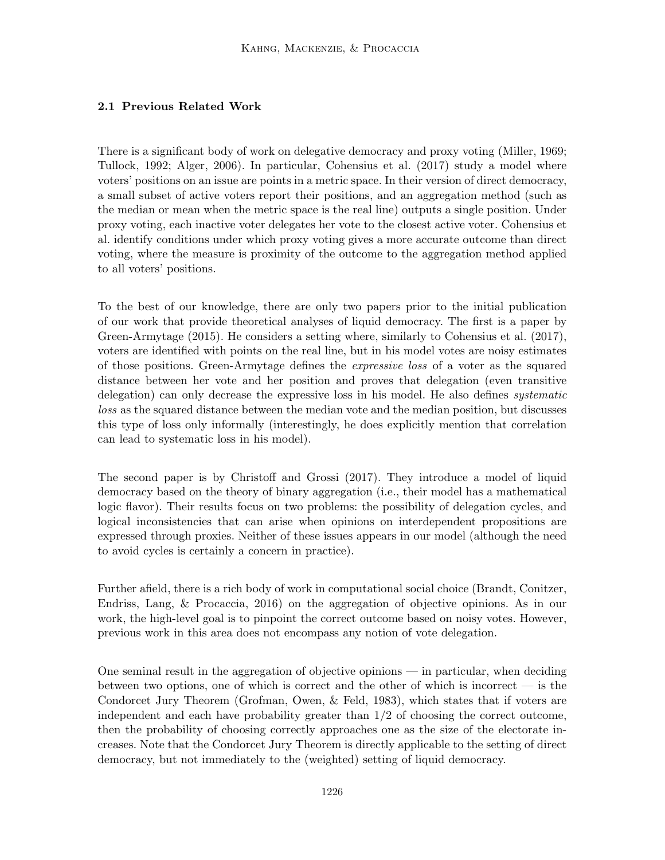## 2.1 Previous Related Work

There is a significant body of work on delegative democracy and proxy voting (Miller, 1969; Tullock, 1992; Alger, 2006). In particular, Cohensius et al. (2017) study a model where voters' positions on an issue are points in a metric space. In their version of direct democracy, a small subset of active voters report their positions, and an aggregation method (such as the median or mean when the metric space is the real line) outputs a single position. Under proxy voting, each inactive voter delegates her vote to the closest active voter. Cohensius et al. identify conditions under which proxy voting gives a more accurate outcome than direct voting, where the measure is proximity of the outcome to the aggregation method applied to all voters' positions.

To the best of our knowledge, there are only two papers prior to the initial publication of our work that provide theoretical analyses of liquid democracy. The first is a paper by Green-Armytage (2015). He considers a setting where, similarly to Cohensius et al. (2017), voters are identified with points on the real line, but in his model votes are noisy estimates of those positions. Green-Armytage defines the expressive loss of a voter as the squared distance between her vote and her position and proves that delegation (even transitive delegation) can only decrease the expressive loss in his model. He also defines systematic loss as the squared distance between the median vote and the median position, but discusses this type of loss only informally (interestingly, he does explicitly mention that correlation can lead to systematic loss in his model).

The second paper is by Christoff and Grossi (2017). They introduce a model of liquid democracy based on the theory of binary aggregation (i.e., their model has a mathematical logic flavor). Their results focus on two problems: the possibility of delegation cycles, and logical inconsistencies that can arise when opinions on interdependent propositions are expressed through proxies. Neither of these issues appears in our model (although the need to avoid cycles is certainly a concern in practice).

Further afield, there is a rich body of work in computational social choice (Brandt, Conitzer, Endriss, Lang, & Procaccia, 2016) on the aggregation of objective opinions. As in our work, the high-level goal is to pinpoint the correct outcome based on noisy votes. However, previous work in this area does not encompass any notion of vote delegation.

One seminal result in the aggregation of objective opinions — in particular, when deciding between two options, one of which is correct and the other of which is incorrect — is the Condorcet Jury Theorem (Grofman, Owen, & Feld, 1983), which states that if voters are independent and each have probability greater than  $1/2$  of choosing the correct outcome, then the probability of choosing correctly approaches one as the size of the electorate increases. Note that the Condorcet Jury Theorem is directly applicable to the setting of direct democracy, but not immediately to the (weighted) setting of liquid democracy.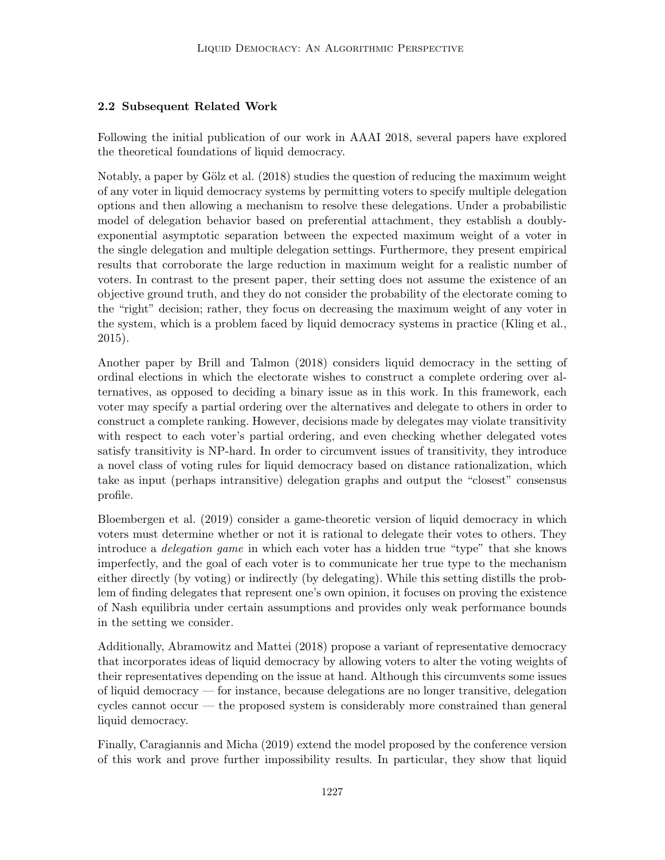## 2.2 Subsequent Related Work

Following the initial publication of our work in AAAI 2018, several papers have explored the theoretical foundations of liquid democracy.

Notably, a paper by Gölz et al. (2018) studies the question of reducing the maximum weight of any voter in liquid democracy systems by permitting voters to specify multiple delegation options and then allowing a mechanism to resolve these delegations. Under a probabilistic model of delegation behavior based on preferential attachment, they establish a doublyexponential asymptotic separation between the expected maximum weight of a voter in the single delegation and multiple delegation settings. Furthermore, they present empirical results that corroborate the large reduction in maximum weight for a realistic number of voters. In contrast to the present paper, their setting does not assume the existence of an objective ground truth, and they do not consider the probability of the electorate coming to the "right" decision; rather, they focus on decreasing the maximum weight of any voter in the system, which is a problem faced by liquid democracy systems in practice (Kling et al., 2015).

Another paper by Brill and Talmon (2018) considers liquid democracy in the setting of ordinal elections in which the electorate wishes to construct a complete ordering over alternatives, as opposed to deciding a binary issue as in this work. In this framework, each voter may specify a partial ordering over the alternatives and delegate to others in order to construct a complete ranking. However, decisions made by delegates may violate transitivity with respect to each voter's partial ordering, and even checking whether delegated votes satisfy transitivity is NP-hard. In order to circumvent issues of transitivity, they introduce a novel class of voting rules for liquid democracy based on distance rationalization, which take as input (perhaps intransitive) delegation graphs and output the "closest" consensus profile.

Bloembergen et al. (2019) consider a game-theoretic version of liquid democracy in which voters must determine whether or not it is rational to delegate their votes to others. They introduce a *delegation game* in which each voter has a hidden true "type" that she knows imperfectly, and the goal of each voter is to communicate her true type to the mechanism either directly (by voting) or indirectly (by delegating). While this setting distills the problem of finding delegates that represent one's own opinion, it focuses on proving the existence of Nash equilibria under certain assumptions and provides only weak performance bounds in the setting we consider.

Additionally, Abramowitz and Mattei (2018) propose a variant of representative democracy that incorporates ideas of liquid democracy by allowing voters to alter the voting weights of their representatives depending on the issue at hand. Although this circumvents some issues of liquid democracy — for instance, because delegations are no longer transitive, delegation cycles cannot occur — the proposed system is considerably more constrained than general liquid democracy.

Finally, Caragiannis and Micha (2019) extend the model proposed by the conference version of this work and prove further impossibility results. In particular, they show that liquid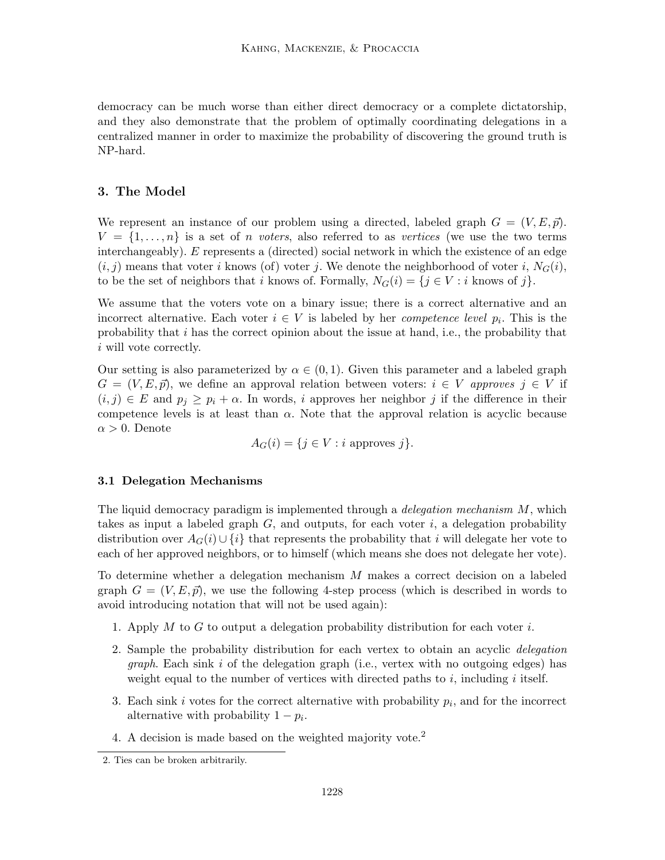democracy can be much worse than either direct democracy or a complete dictatorship, and they also demonstrate that the problem of optimally coordinating delegations in a centralized manner in order to maximize the probability of discovering the ground truth is NP-hard.

## 3. The Model

We represent an instance of our problem using a directed, labeled graph  $G = (V, E, \vec{p}).$  $V = \{1, \ldots, n\}$  is a set of *n voters*, also referred to as vertices (we use the two terms interchangeably). E represents a (directed) social network in which the existence of an edge  $(i, j)$  means that voter i knows (of) voter j. We denote the neighborhood of voter i,  $N_G(i)$ , to be the set of neighbors that i knows of. Formally,  $N_G(i) = \{j \in V : i \text{ knows of } j\}.$ 

We assume that the voters vote on a binary issue; there is a correct alternative and an incorrect alternative. Each voter  $i \in V$  is labeled by her *competence level*  $p_i$ . This is the probability that i has the correct opinion about the issue at hand, i.e., the probability that i will vote correctly.

Our setting is also parameterized by  $\alpha \in (0, 1)$ . Given this parameter and a labeled graph  $G = (V, E, \vec{p})$ , we define an approval relation between voters:  $i \in V$  approves  $j \in V$  if  $(i, j) \in E$  and  $p_j \geq p_i + \alpha$ . In words, i approves her neighbor j if the difference in their competence levels is at least than  $\alpha$ . Note that the approval relation is acyclic because  $\alpha > 0$ . Denote

 $A_G(i) = \{j \in V : i \text{ approaches } j\}.$ 

#### 3.1 Delegation Mechanisms

The liquid democracy paradigm is implemented through a *delegation mechanism M*, which takes as input a labeled graph  $G$ , and outputs, for each voter i, a delegation probability distribution over  $A_G(i) \cup \{i\}$  that represents the probability that i will delegate her vote to each of her approved neighbors, or to himself (which means she does not delegate her vote).

To determine whether a delegation mechanism M makes a correct decision on a labeled graph  $G = (V, E, \vec{p})$ , we use the following 4-step process (which is described in words to avoid introducing notation that will not be used again):

- 1. Apply M to G to output a delegation probability distribution for each voter  $i$ .
- 2. Sample the probability distribution for each vertex to obtain an acyclic delegation *graph*. Each sink i of the delegation graph (i.e., vertex with no outgoing edges) has weight equal to the number of vertices with directed paths to  $i$ , including  $i$  itself.
- 3. Each sink i votes for the correct alternative with probability  $p_i$ , and for the incorrect alternative with probability  $1 - p_i$ .
- 4. A decision is made based on the weighted majority vote.<sup>2</sup>

<sup>2.</sup> Ties can be broken arbitrarily.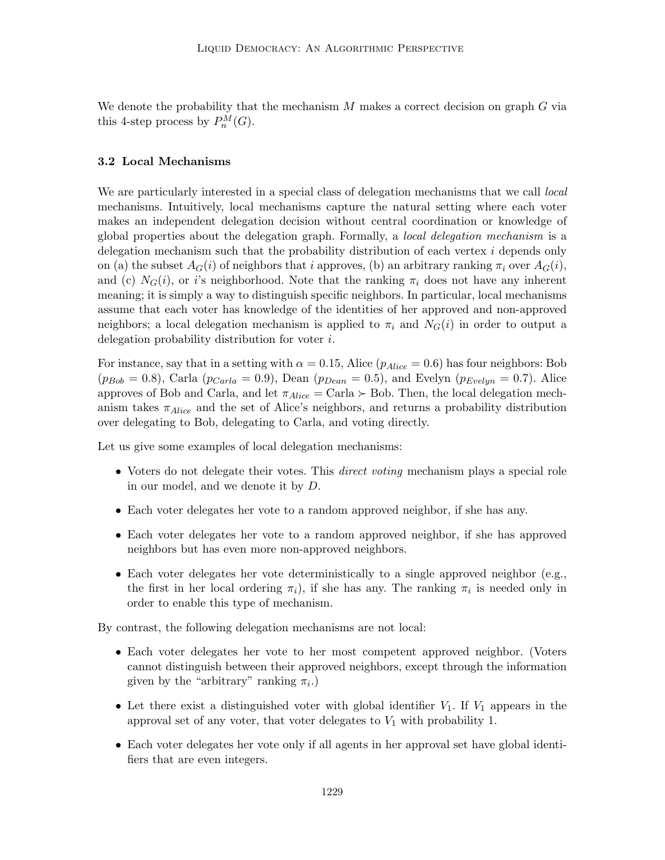We denote the probability that the mechanism  $M$  makes a correct decision on graph  $G$  via this 4-step process by  $P_n^M(G)$ .

#### 3.2 Local Mechanisms

We are particularly interested in a special class of delegation mechanisms that we call *local* mechanisms. Intuitively, local mechanisms capture the natural setting where each voter makes an independent delegation decision without central coordination or knowledge of global properties about the delegation graph. Formally, a local delegation mechanism is a delegation mechanism such that the probability distribution of each vertex i depends only on (a) the subset  $A_G(i)$  of neighbors that i approves, (b) an arbitrary ranking  $\pi_i$  over  $A_G(i)$ , and (c)  $N_G(i)$ , or i's neighborhood. Note that the ranking  $\pi_i$  does not have any inherent meaning; it is simply a way to distinguish specific neighbors. In particular, local mechanisms assume that each voter has knowledge of the identities of her approved and non-approved neighbors; a local delegation mechanism is applied to  $\pi_i$  and  $N_G(i)$  in order to output a delegation probability distribution for voter i.

For instance, say that in a setting with  $\alpha = 0.15$ , Alice ( $p_{Alice} = 0.6$ ) has four neighbors: Bob  $(p_{Bob} = 0.8)$ , Carla  $(p_{Carla} = 0.9)$ , Dean  $(p_{Dean} = 0.5)$ , and Evelyn  $(p_{Evelyn} = 0.7)$ . Alice approves of Bob and Carla, and let  $\pi_{Alice} = \text{Carla} \succ \text{Bob}$ . Then, the local delegation mechanism takes  $\pi_{Alice}$  and the set of Alice's neighbors, and returns a probability distribution over delegating to Bob, delegating to Carla, and voting directly.

Let us give some examples of local delegation mechanisms:

- Voters do not delegate their votes. This *direct voting* mechanism plays a special role in our model, and we denote it by D.
- Each voter delegates her vote to a random approved neighbor, if she has any.
- Each voter delegates her vote to a random approved neighbor, if she has approved neighbors but has even more non-approved neighbors.
- Each voter delegates her vote deterministically to a single approved neighbor (e.g., the first in her local ordering  $\pi_i$ ), if she has any. The ranking  $\pi_i$  is needed only in order to enable this type of mechanism.

By contrast, the following delegation mechanisms are not local:

- Each voter delegates her vote to her most competent approved neighbor. (Voters cannot distinguish between their approved neighbors, except through the information given by the "arbitrary" ranking  $\pi_i$ .)
- Let there exist a distinguished voter with global identifier  $V_1$ . If  $V_1$  appears in the approval set of any voter, that voter delegates to  $V_1$  with probability 1.
- Each voter delegates her vote only if all agents in her approval set have global identifiers that are even integers.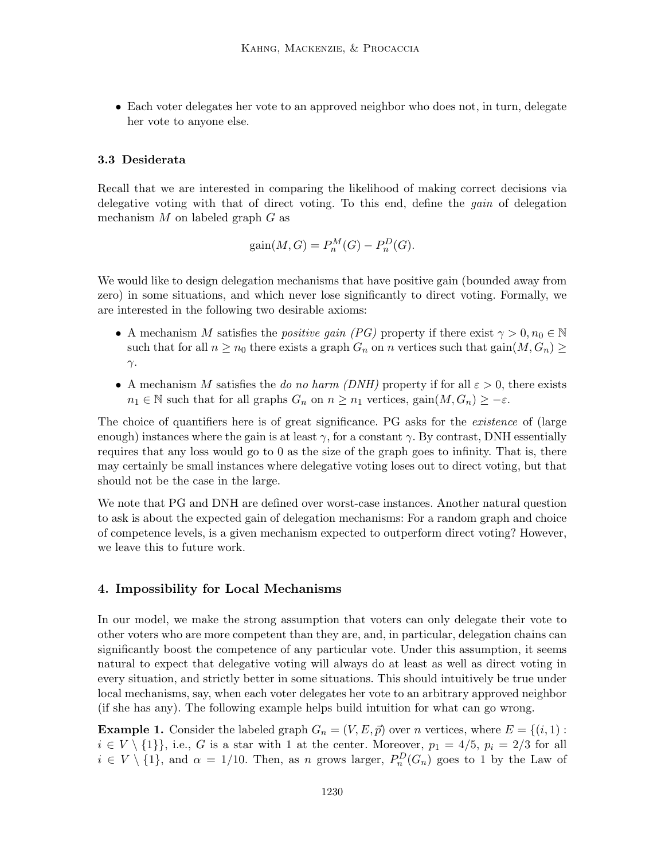• Each voter delegates her vote to an approved neighbor who does not, in turn, delegate her vote to anyone else.

#### 3.3 Desiderata

Recall that we are interested in comparing the likelihood of making correct decisions via delegative voting with that of direct voting. To this end, define the *gain* of delegation mechanism  $M$  on labeled graph  $G$  as

$$
gain(M,G) = P_n^M(G) - P_n^D(G).
$$

We would like to design delegation mechanisms that have positive gain (bounded away from zero) in some situations, and which never lose significantly to direct voting. Formally, we are interested in the following two desirable axioms:

- A mechanism M satisfies the *positive gain* (PG) property if there exist  $\gamma > 0, n_0 \in \mathbb{N}$ such that for all  $n \geq n_0$  there exists a graph  $G_n$  on n vertices such that  $\text{gain}(M, G_n) \geq$  $γ$ .
- A mechanism M satisfies the do no harm (DNH) property if for all  $\varepsilon > 0$ , there exists  $n_1 \in \mathbb{N}$  such that for all graphs  $G_n$  on  $n \geq n_1$  vertices,  $\text{gain}(M, G_n) \geq -\varepsilon$ .

The choice of quantifiers here is of great significance. PG asks for the *existence* of (large enough) instances where the gain is at least  $\gamma$ , for a constant  $\gamma$ . By contrast, DNH essentially requires that any loss would go to 0 as the size of the graph goes to infinity. That is, there may certainly be small instances where delegative voting loses out to direct voting, but that should not be the case in the large.

We note that PG and DNH are defined over worst-case instances. Another natural question to ask is about the expected gain of delegation mechanisms: For a random graph and choice of competence levels, is a given mechanism expected to outperform direct voting? However, we leave this to future work.

#### 4. Impossibility for Local Mechanisms

In our model, we make the strong assumption that voters can only delegate their vote to other voters who are more competent than they are, and, in particular, delegation chains can significantly boost the competence of any particular vote. Under this assumption, it seems natural to expect that delegative voting will always do at least as well as direct voting in every situation, and strictly better in some situations. This should intuitively be true under local mechanisms, say, when each voter delegates her vote to an arbitrary approved neighbor (if she has any). The following example helps build intuition for what can go wrong.

**Example 1.** Consider the labeled graph  $G_n = (V, E, \vec{p})$  over n vertices, where  $E = \{(i, 1) :$  $i \in V \setminus \{1\}$ , i.e., G is a star with 1 at the center. Moreover,  $p_1 = 4/5$ ,  $p_i = 2/3$  for all  $i \in V \setminus \{1\}$ , and  $\alpha = 1/10$ . Then, as n grows larger,  $P_n^D(G_n)$  goes to 1 by the Law of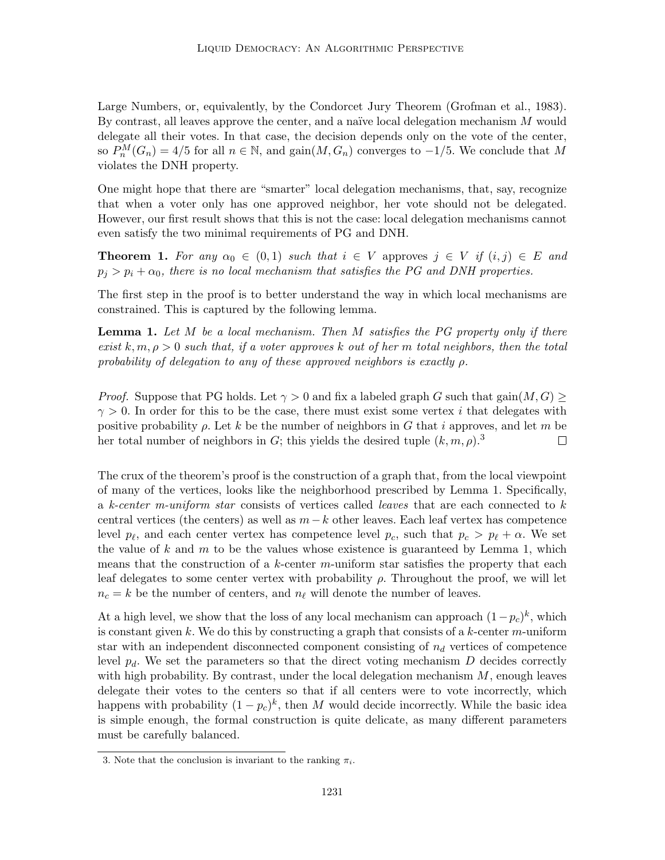Large Numbers, or, equivalently, by the Condorcet Jury Theorem (Grofman et al., 1983). By contrast, all leaves approve the center, and a naïve local delegation mechanism  $M$  would delegate all their votes. In that case, the decision depends only on the vote of the center, so  $P_n^M(G_n) = 4/5$  for all  $n \in \mathbb{N}$ , and  $\text{gain}(M, G_n)$  converges to  $-1/5$ . We conclude that M violates the DNH property.

One might hope that there are "smarter" local delegation mechanisms, that, say, recognize that when a voter only has one approved neighbor, her vote should not be delegated. However, our first result shows that this is not the case: local delegation mechanisms cannot even satisfy the two minimal requirements of PG and DNH.

**Theorem 1.** For any  $\alpha_0 \in (0,1)$  such that  $i \in V$  approves  $j \in V$  if  $(i, j) \in E$  and  $p_j > p_i + \alpha_0$ , there is no local mechanism that satisfies the PG and DNH properties.

The first step in the proof is to better understand the way in which local mechanisms are constrained. This is captured by the following lemma.

**Lemma 1.** Let M be a local mechanism. Then M satisfies the PG property only if there exist  $k, m, \rho > 0$  such that, if a voter approves k out of her m total neighbors, then the total probability of delegation to any of these approved neighbors is exactly  $\rho$ .

*Proof.* Suppose that PG holds. Let  $\gamma > 0$  and fix a labeled graph G such that gain $(M, G)$  $\gamma > 0$ . In order for this to be the case, there must exist some vertex i that delegates with positive probability  $\rho$ . Let k be the number of neighbors in G that i approves, and let m be her total number of neighbors in G; this yields the desired tuple  $(k, m, \rho)$ .<sup>3</sup>  $\Box$ 

The crux of the theorem's proof is the construction of a graph that, from the local viewpoint of many of the vertices, looks like the neighborhood prescribed by Lemma 1. Specifically, a k-center m-uniform star consists of vertices called leaves that are each connected to  $k$ central vertices (the centers) as well as  $m - k$  other leaves. Each leaf vertex has competence level  $p_\ell$ , and each center vertex has competence level  $p_c$ , such that  $p_c > p_\ell + \alpha$ . We set the value of k and m to be the values whose existence is guaranteed by Lemma 1, which means that the construction of a k-center m-uniform star satisfies the property that each leaf delegates to some center vertex with probability  $\rho$ . Throughout the proof, we will let  $n_c = k$  be the number of centers, and  $n_\ell$  will denote the number of leaves.

At a high level, we show that the loss of any local mechanism can approach  $(1-p_c)^k$ , which is constant given k. We do this by constructing a graph that consists of a k-center  $m$ -uniform star with an independent disconnected component consisting of  $n_d$  vertices of competence level  $p_d$ . We set the parameters so that the direct voting mechanism  $D$  decides correctly with high probability. By contrast, under the local delegation mechanism  $M$ , enough leaves delegate their votes to the centers so that if all centers were to vote incorrectly, which happens with probability  $(1-p_c)^k$ , then M would decide incorrectly. While the basic idea is simple enough, the formal construction is quite delicate, as many different parameters must be carefully balanced.

<sup>3.</sup> Note that the conclusion is invariant to the ranking  $\pi_i$ .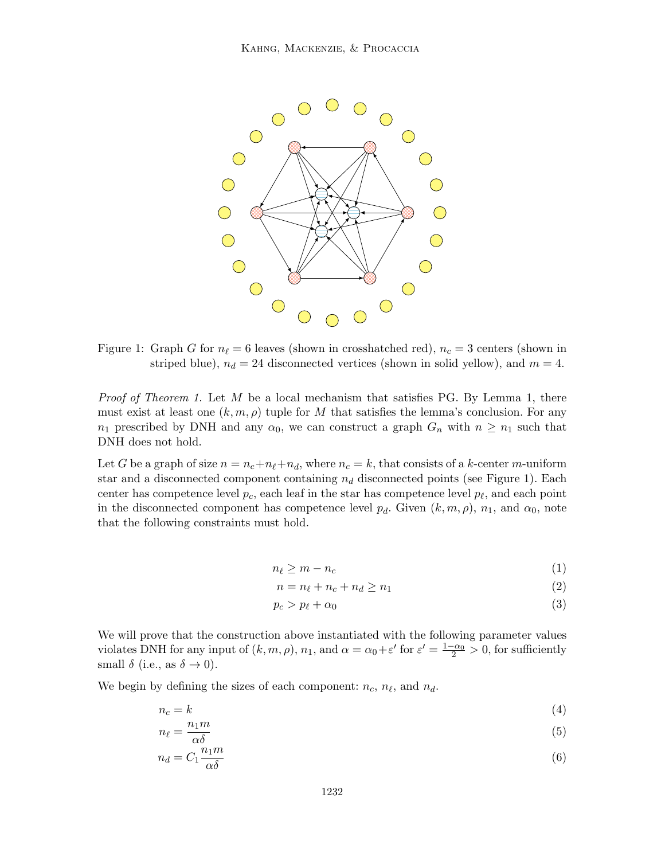

Figure 1: Graph G for  $n_\ell = 6$  leaves (shown in crosshatched red),  $n_c = 3$  centers (shown in striped blue),  $n_d = 24$  disconnected vertices (shown in solid yellow), and  $m = 4$ .

*Proof of Theorem 1.* Let M be a local mechanism that satisfies PG. By Lemma 1, there must exist at least one  $(k, m, \rho)$  tuple for M that satisfies the lemma's conclusion. For any  $n_1$  prescribed by DNH and any  $\alpha_0$ , we can construct a graph  $G_n$  with  $n \geq n_1$  such that DNH does not hold.

Let G be a graph of size  $n = n_c+n_{\ell}+n_d$ , where  $n_c = k$ , that consists of a k-center m-uniform star and a disconnected component containing  $n_d$  disconnected points (see Figure 1). Each center has competence level  $p_c$ , each leaf in the star has competence level  $p_\ell$ , and each point in the disconnected component has competence level  $p_d$ . Given  $(k, m, \rho)$ ,  $n_1$ , and  $\alpha_0$ , note that the following constraints must hold.

$$
n_{\ell} \ge m - n_c \tag{1}
$$

$$
n = n_{\ell} + n_c + n_d \ge n_1 \tag{2}
$$

$$
p_c > p_{\ell} + \alpha_0 \tag{3}
$$

We will prove that the construction above instantiated with the following parameter values violates DNH for any input of  $(k, m, \rho)$ ,  $n_1$ , and  $\alpha = \alpha_0 + \varepsilon'$  for  $\varepsilon' = \frac{1-\alpha_0}{2} > 0$ , for sufficiently small  $\delta$  (i.e., as  $\delta \rightarrow 0$ ).

We begin by defining the sizes of each component:  $n_c$ ,  $n_{\ell}$ , and  $n_d$ .

$$
n_c = k \tag{4}
$$

$$
n_{\ell} = \frac{n_1 m}{\alpha \delta} \tag{5}
$$

$$
n_d = C_1 \frac{n_1 m}{\alpha \delta} \tag{6}
$$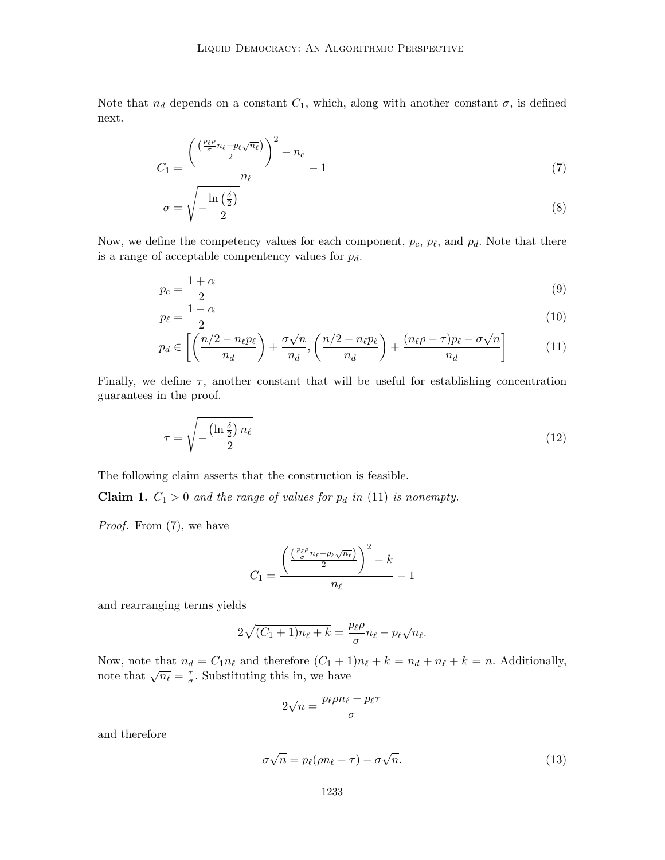Note that  $n_d$  depends on a constant  $C_1$ , which, along with another constant  $\sigma$ , is defined next.

$$
C_1 = \frac{\left(\frac{\left(\frac{p_\ell \rho}{\sigma} n_\ell - p_\ell \sqrt{n_\ell}\right)}{2}\right)^2 - n_c}{n_\ell} - 1\tag{7}
$$

$$
\sigma = \sqrt{-\frac{\ln\left(\frac{\delta}{2}\right)}{2}}\tag{8}
$$

Now, we define the competency values for each component,  $p_c$ ,  $p_{\ell}$ , and  $p_d$ . Note that there is a range of acceptable compentency values for  $p_d$ .

$$
p_c = \frac{1+\alpha}{2} \tag{9}
$$

$$
p_{\ell} = \frac{1 - \alpha}{2} \tag{10}
$$

$$
p_d \in \left[ \left( \frac{n/2 - n_{\ell} p_{\ell}}{n_d} \right) + \frac{\sigma \sqrt{n}}{n_d}, \left( \frac{n/2 - n_{\ell} p_{\ell}}{n_d} \right) + \frac{(n_{\ell} \rho - \tau) p_{\ell} - \sigma \sqrt{n}}{n_d} \right] \tag{11}
$$

Finally, we define  $\tau$ , another constant that will be useful for establishing concentration guarantees in the proof.

$$
\tau = \sqrt{-\frac{\left(\ln \frac{\delta}{2}\right)n_{\ell}}{2}}\tag{12}
$$

The following claim asserts that the construction is feasible.

**Claim 1.**  $C_1 > 0$  and the range of values for  $p_d$  in (11) is nonempty.

Proof. From  $(7)$ , we have

$$
C_1 = \frac{\left(\frac{\left(\frac{p_\ell \rho}{\sigma} n_\ell - p_\ell \sqrt{n_\ell}\right)}{2}\right)^2 - k}{n_\ell} - 1
$$

and rearranging terms yields

$$
2\sqrt{(C_1+1)n_\ell+k} = \frac{p_\ell \rho}{\sigma} n_\ell - p_\ell \sqrt{n_\ell}.
$$

Now, note that  $n_d = C_1 n_\ell$  and therefore  $(C_1 + 1)n_\ell + k = n_d + n_\ell + k = n$ . Additionally, note that  $\sqrt{n_\ell} = \frac{\tau}{\sigma}$  $\frac{\tau}{\sigma}$ . Substituting this in, we have

$$
2\sqrt{n} = \frac{p_{\ell}\rho n_{\ell} - p_{\ell}\tau}{\sigma}
$$

and therefore

$$
\sigma\sqrt{n} = p_{\ell}(\rho n_{\ell} - \tau) - \sigma\sqrt{n}.\tag{13}
$$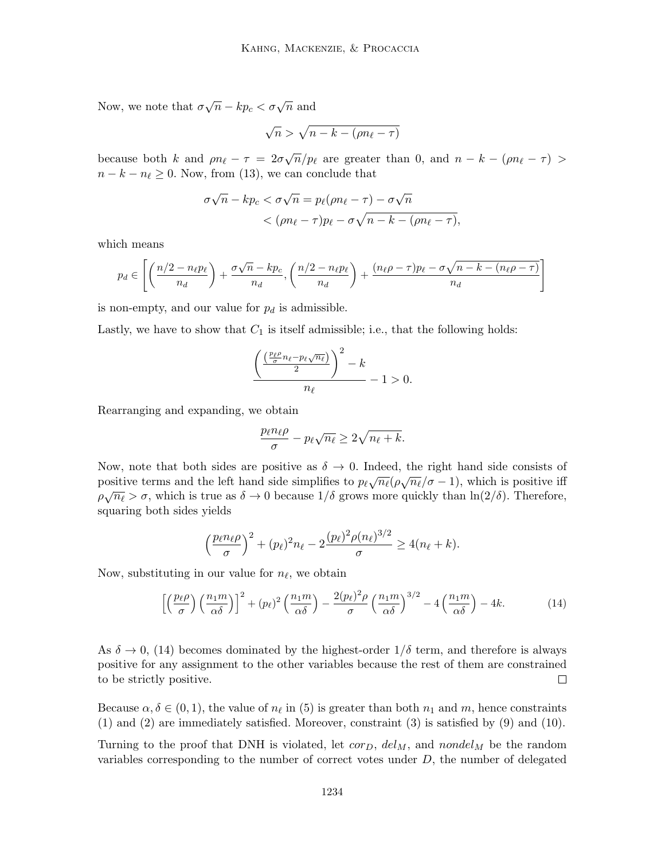Now, we note that  $\sigma \sqrt{n} - kp_c < \sigma \sqrt{n}$  and

$$
\sqrt{n} > \sqrt{n-k-(\rho n_\ell - \tau)}
$$

because both k and  $\rho n_{\ell} - \tau = 2\sigma \sqrt{n}/p_{\ell}$  are greater than 0, and  $n - k - (\rho n_{\ell} - \tau) >$  $n - k - n_\ell \geq 0$ . Now, from (13), we can conclude that

$$
\sigma\sqrt{n} - kp_c < \sigma\sqrt{n} = p_\ell(\rho n_\ell - \tau) - \sigma\sqrt{n} \\
&< (\rho n_\ell - \tau)p_\ell - \sigma\sqrt{n - k - (\rho n_\ell - \tau)},
$$

which means

$$
p_d \in \left[ \left( \frac{n/2 - n_{\ell} p_{\ell}}{n_d} \right) + \frac{\sigma \sqrt{n} - k p_c}{n_d}, \left( \frac{n/2 - n_{\ell} p_{\ell}}{n_d} \right) + \frac{(n_{\ell} \rho - \tau) p_{\ell} - \sigma \sqrt{n - k - (n_{\ell} \rho - \tau)}}{n_d} \right]
$$

is non-empty, and our value for  $p_d$  is admissible.

Lastly, we have to show that  $C_1$  is itself admissible; i.e., that the following holds:

$$
\frac{\left(\frac{\left(\frac{p_{\ell}\rho}{\sigma}n_{\ell}-p_{\ell}\sqrt{n_{\ell}}\right)}{2}\right)^2 - k}{n_{\ell}} - 1 > 0.
$$

Rearranging and expanding, we obtain

$$
\frac{p_{\ell}n_{\ell}\rho}{\sigma} - p_{\ell}\sqrt{n_{\ell}} \ge 2\sqrt{n_{\ell} + k}.
$$

Now, note that both sides are positive as  $\delta \to 0$ . Indeed, the right hand side consists of positive terms and the left hand side simplifies to  $p_\ell \sqrt{n_\ell} (\rho \sqrt{n_\ell}/\sigma - 1)$ , which is positive iff  $\rho\sqrt{n_{\ell}} > \sigma$ , which is true as  $\delta \to 0$  because  $1/\delta$  grows more quickly than  $\ln(2/\delta)$ . Therefore, squaring both sides yields

$$
\left(\frac{p_{\ell}n_{\ell}\rho}{\sigma}\right)^2 + (p_{\ell})^2n_{\ell} - 2\frac{(p_{\ell})^2\rho(n_{\ell})^{3/2}}{\sigma} \ge 4(n_{\ell} + k).
$$

Now, substituting in our value for  $n_\ell$ , we obtain

$$
\left[ \left( \frac{p_{\ell} \rho}{\sigma} \right) \left( \frac{n_1 m}{\alpha \delta} \right) \right]^2 + (p_{\ell})^2 \left( \frac{n_1 m}{\alpha \delta} \right) - \frac{2(p_{\ell})^2 \rho}{\sigma} \left( \frac{n_1 m}{\alpha \delta} \right)^{3/2} - 4 \left( \frac{n_1 m}{\alpha \delta} \right) - 4k. \tag{14}
$$

As  $\delta \to 0$ , (14) becomes dominated by the highest-order  $1/\delta$  term, and therefore is always positive for any assignment to the other variables because the rest of them are constrained to be strictly positive.  $\Box$ 

Because  $\alpha, \delta \in (0, 1)$ , the value of  $n_\ell$  in (5) is greater than both  $n_1$  and m, hence constraints (1) and (2) are immediately satisfied. Moreover, constraint (3) is satisfied by (9) and (10).

Turning to the proof that DNH is violated, let  $cor_D$ ,  $del_M$ , and  $nondel_M$  be the random variables corresponding to the number of correct votes under  $D$ , the number of delegated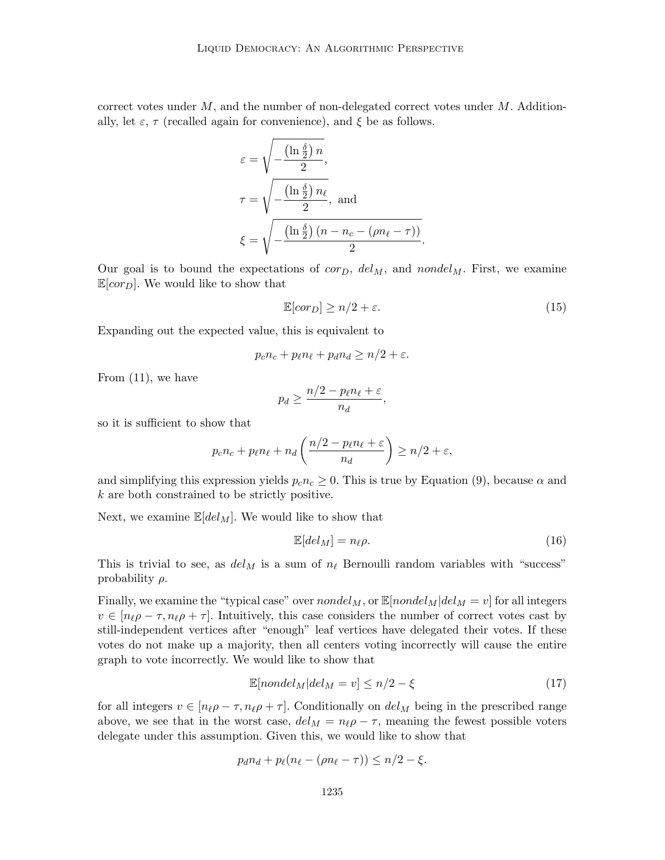correct votes under  $M$ , and the number of non-delegated correct votes under  $M$ . Additionally, let  $\varepsilon$ ,  $\tau$  (recalled again for convenience), and  $\xi$  be as follows.

$$
\varepsilon = \sqrt{-\frac{\left(\ln \frac{\delta}{2}\right)n}{2}},
$$
\n
$$
\tau = \sqrt{-\frac{\left(\ln \frac{\delta}{2}\right)n_{\ell}}{2}}, \text{ and}
$$
\n
$$
\xi = \sqrt{-\frac{\left(\ln \frac{\delta}{2}\right)(n - n_c - (\rho n_{\ell} - \tau))}{2}}.
$$

Our goal is to bound the expectations of  $cor_D$ ,  $del_M$ , and nondel<sub>M</sub>. First, we examine  $\mathbb{E}[cor_{D}]$ . We would like to show that

$$
\mathbb{E}[cor_D] \ge n/2 + \varepsilon. \tag{15}
$$

Expanding out the expected value, this is equivalent to

$$
p_c n_c + p_{\ell} n_{\ell} + p_d n_d \ge n/2 + \varepsilon.
$$

From (11), we have

$$
p_d \ge \frac{n/2 - p_\ell n_\ell + \varepsilon}{n_d},
$$

so it is sufficient to show that

$$
p_c n_c + p_{\ell} n_{\ell} + n_d \left( \frac{n/2 - p_{\ell} n_{\ell} + \varepsilon}{n_d} \right) \ge n/2 + \varepsilon,
$$

and simplifying this expression yields  $p_c n_c \geq 0$ . This is true by Equation (9), because  $\alpha$  and k are both constrained to be strictly positive.

Next, we examine  $\mathbb{E}[del_M]$ . We would like to show that

$$
\mathbb{E}[del_M] = n_{\ell}\rho. \tag{16}
$$

This is trivial to see, as  $del_M$  is a sum of  $n_\ell$  Bernoulli random variables with "success" probability  $\rho$ .

Finally, we examine the "typical case" over  $nondel<sub>M</sub>$ , or  $\mathbb{E}[nondel<sub>M</sub>|del<sub>M</sub> = v]$  for all integers  $v \in [n_{\ell} \rho - \tau, n_{\ell} \rho + \tau]$ . Intuitively, this case considers the number of correct votes cast by still-independent vertices after "enough" leaf vertices have delegated their votes. If these votes do not make up a majority, then all centers voting incorrectly will cause the entire graph to vote incorrectly. We would like to show that

$$
\mathbb{E}[nondel_M|del_M = v] \le n/2 - \xi \tag{17}
$$

for all integers  $v \in [n_{\ell} \rho - \tau, n_{\ell} \rho + \tau]$ . Conditionally on  $del_M$  being in the prescribed range above, we see that in the worst case,  $del_M = n_\ell \rho - \tau$ , meaning the fewest possible voters delegate under this assumption. Given this, we would like to show that

$$
p_d n_d + p_\ell (n_\ell - (\rho n_\ell - \tau)) \le n/2 - \xi.
$$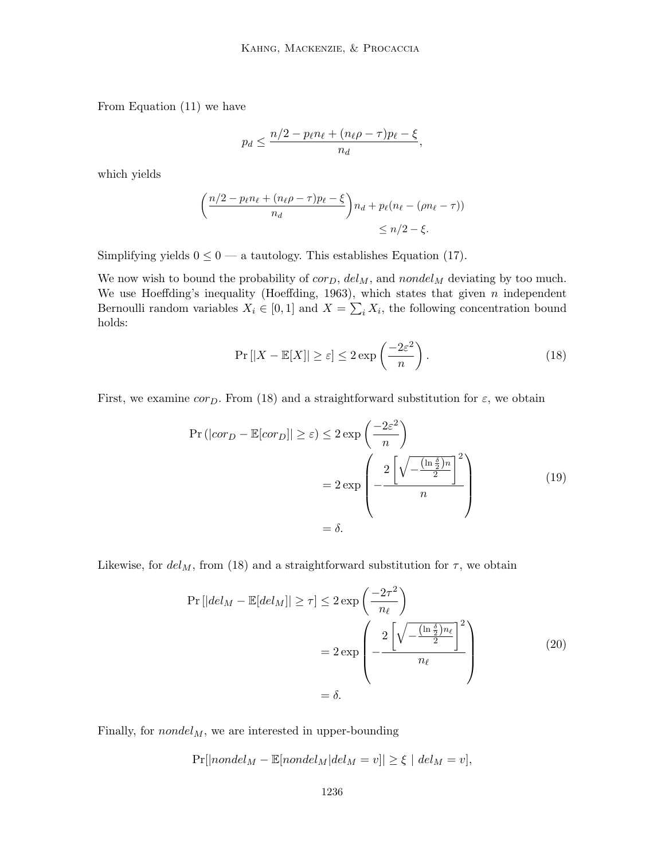From Equation (11) we have

$$
p_d \le \frac{n/2 - p_{\ell}n_{\ell} + (n_{\ell}\rho - \tau)p_{\ell} - \xi}{n_d},
$$

which yields

$$
\left(\frac{n/2 - p_{\ell}n_{\ell} + (n_{\ell}\rho - \tau)p_{\ell} - \xi}{n_d}\right) n_d + p_{\ell}(n_{\ell} - (\rho n_{\ell} - \tau))
$$
  
\$\leq n/2 - \xi\$.

Simplifying yields  $0 \leq 0$  — a tautology. This establishes Equation (17).

We now wish to bound the probability of  $cor_D$ ,  $del_M$ , and  $nondel_M$  deviating by too much. We use Hoeffding's inequality (Hoeffding, 1963), which states that given  $n$  independent Bernoulli random variables  $X_i \in [0,1]$  and  $X = \sum_i X_i$ , the following concentration bound holds:

$$
\Pr\left[|X - \mathbb{E}[X]\right] \ge \varepsilon\right] \le 2 \exp\left(\frac{-2\varepsilon^2}{n}\right). \tag{18}
$$

First, we examine corp. From (18) and a straightforward substitution for  $\varepsilon$ , we obtain

$$
\Pr(|cor_D - \mathbb{E}[cor_D]| \ge \varepsilon) \le 2 \exp\left(\frac{-2\varepsilon^2}{n}\right)
$$
  
=  $2 \exp\left(-\frac{2\left[\sqrt{-\frac{(\ln \frac{\delta}{2})n}{2}}\right]^2}{n}\right)$  (19)  
=  $\delta$ .

Likewise, for  $del<sub>M</sub>$ , from (18) and a straightforward substitution for  $\tau$ , we obtain

$$
\Pr\left[|del_M - \mathbb{E}[del_M]|\geq \tau\right] \leq 2 \exp\left(\frac{-2\tau^2}{n_\ell}\right)
$$

$$
= 2 \exp\left(-\frac{2\left[\sqrt{-\frac{(\ln \frac{\delta}{2})n_\ell}{2}}\right]^2}{n_\ell}\right)
$$

$$
= \delta.
$$
(20)

Finally, for  $nondel<sub>M</sub>$ , we are interested in upper-bounding

$$
\Pr[|non del_M - \mathbb{E}[non del_M | del_M = v]| \geq \xi \mid del_M = v],
$$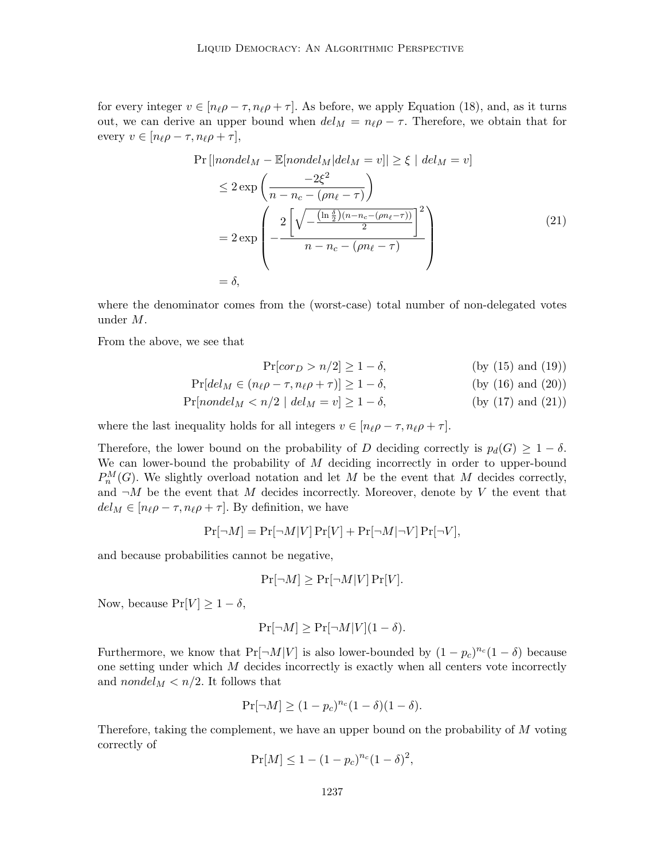for every integer  $v \in [n_{\ell} \rho - \tau, n_{\ell} \rho + \tau]$ . As before, we apply Equation (18), and, as it turns out, we can derive an upper bound when  $del_M = n_\ell \rho - \tau$ . Therefore, we obtain that for every  $v \in [n_{\ell}\rho - \tau, n_{\ell}\rho + \tau],$ 

$$
\Pr\left[|nondel_M - \mathbb{E}[nondel_M|del_M = v]|\geq \xi \mid del_M = v\right]
$$
\n
$$
\leq 2 \exp\left(\frac{-2\xi^2}{n - n_c - (\rho n_\ell - \tau)}\right)
$$
\n
$$
= 2 \exp\left(-\frac{2\left[\sqrt{-\frac{(\ln \frac{\delta}{2})(n - n_c - (\rho n_\ell - \tau))}{2}}\right]^2}{n - n_c - (\rho n_\ell - \tau)}\right)
$$
\n
$$
= \delta,
$$
\n(21)

where the denominator comes from the (worst-case) total number of non-delegated votes under M.

From the above, we see that

$$
\Pr[cor_D > n/2] \ge 1 - \delta,
$$
 (by (15) and (19))

$$
\Pr[del_M \in (n_\ell \rho - \tau, n_\ell \rho + \tau)] \ge 1 - \delta,
$$
 (by (16) and (20))

$$
Pr[nondel_M < n/2 | del_M = v] \ge 1 - \delta,
$$
 (by (17) and (21))

where the last inequality holds for all integers  $v \in [n_\ell \rho - \tau, n_\ell \rho + \tau]$ .

Therefore, the lower bound on the probability of D deciding correctly is  $p_d(G) \geq 1 - \delta$ . We can lower-bound the probability of  $M$  deciding incorrectly in order to upper-bound  $P_n^M(G)$ . We slightly overload notation and let M be the event that M decides correctly, and  $\neg M$  be the event that M decides incorrectly. Moreover, denote by V the event that  $del_M \in [n_\ell \rho - \tau, n_\ell \rho + \tau]$ . By definition, we have

$$
Pr[\neg M] = Pr[\neg M|V] Pr[V] + Pr[\neg M|\neg V] Pr[\neg V],
$$

and because probabilities cannot be negative,

$$
\Pr[\neg M] \ge \Pr[\neg M|V] \Pr[V].
$$

Now, because  $Pr[V] \ge 1 - \delta$ ,

$$
\Pr[\neg M] \ge \Pr[\neg M|V](1 - \delta).
$$

Furthermore, we know that  $Pr[\neg M|V]$  is also lower-bounded by  $(1-p_c)^{n_c}(1-\delta)$  because one setting under which M decides incorrectly is exactly when all centers vote incorrectly and nondel<sub>M</sub>  $\lt n/2$ . It follows that

$$
\Pr[\neg M] \ge (1 - p_c)^{n_c} (1 - \delta)(1 - \delta).
$$

Therefore, taking the complement, we have an upper bound on the probability of M voting correctly of

$$
Pr[M] \le 1 - (1 - p_c)^{n_c} (1 - \delta)^2,
$$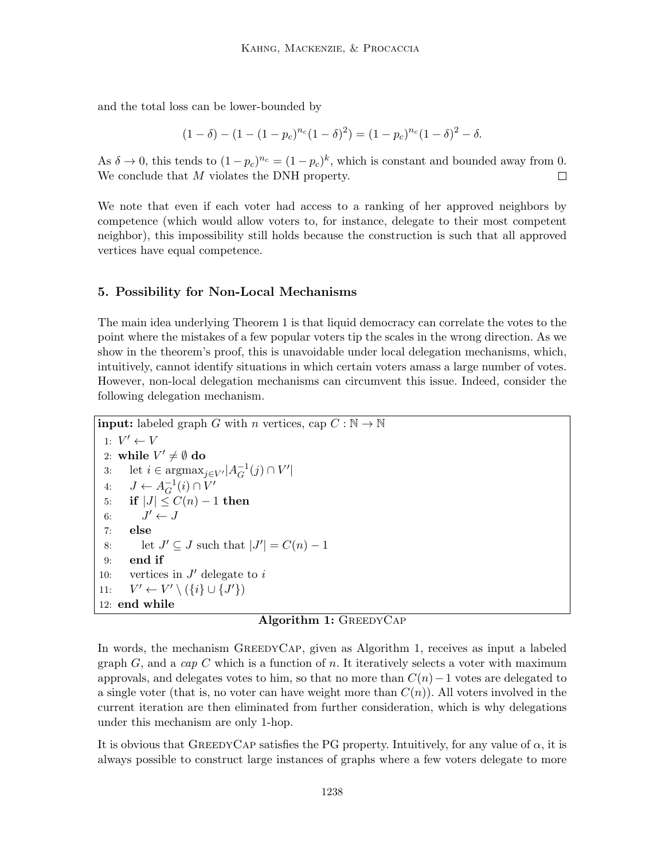and the total loss can be lower-bounded by

$$
(1 - \delta) - (1 - (1 - p_c)^{n_c}(1 - \delta)^2) = (1 - p_c)^{n_c}(1 - \delta)^2 - \delta.
$$

As  $\delta \to 0$ , this tends to  $(1-p_c)^{n_c} = (1-p_c)^k$ , which is constant and bounded away from 0. We conclude that M violates the DNH property. П

We note that even if each voter had access to a ranking of her approved neighbors by competence (which would allow voters to, for instance, delegate to their most competent neighbor), this impossibility still holds because the construction is such that all approved vertices have equal competence.

#### 5. Possibility for Non-Local Mechanisms

The main idea underlying Theorem 1 is that liquid democracy can correlate the votes to the point where the mistakes of a few popular voters tip the scales in the wrong direction. As we show in the theorem's proof, this is unavoidable under local delegation mechanisms, which, intuitively, cannot identify situations in which certain voters amass a large number of votes. However, non-local delegation mechanisms can circumvent this issue. Indeed, consider the following delegation mechanism.

```
input: labeled graph G with n vertices, cap C : \mathbb{N} \to \mathbb{N}1: V' \leftarrow V2: while V' \neq \emptyset do
 3: let i \in \text{argmax}_{j \in V'} | A_G^{-1}_{G}^{-1}(j) \cap V'4: J \leftarrow A_G^{-1}_{G}^{-1}(i) \cap V'5: if |J| \leq C(n) - 1 then
 6: J' \leftarrow J7: else
 8: let J' \subseteq J such that |J'| = C(n) - 19: end if
10: vertices in J' delegate to i
11:\mathcal{O}' \leftarrow V' \setminus (\{i\} \cup \{J'\})12: end while
```
## Algorithm 1: GREEDYCAP

In words, the mechanism GreedyCap, given as Algorithm 1, receives as input a labeled graph  $G$ , and a cap  $C$  which is a function of n. It iteratively selects a voter with maximum approvals, and delegates votes to him, so that no more than  $C(n)-1$  votes are delegated to a single voter (that is, no voter can have weight more than  $C(n)$ ). All voters involved in the current iteration are then eliminated from further consideration, which is why delegations under this mechanism are only 1-hop.

It is obvious that GREEDYCAP satisfies the PG property. Intuitively, for any value of  $\alpha$ , it is always possible to construct large instances of graphs where a few voters delegate to more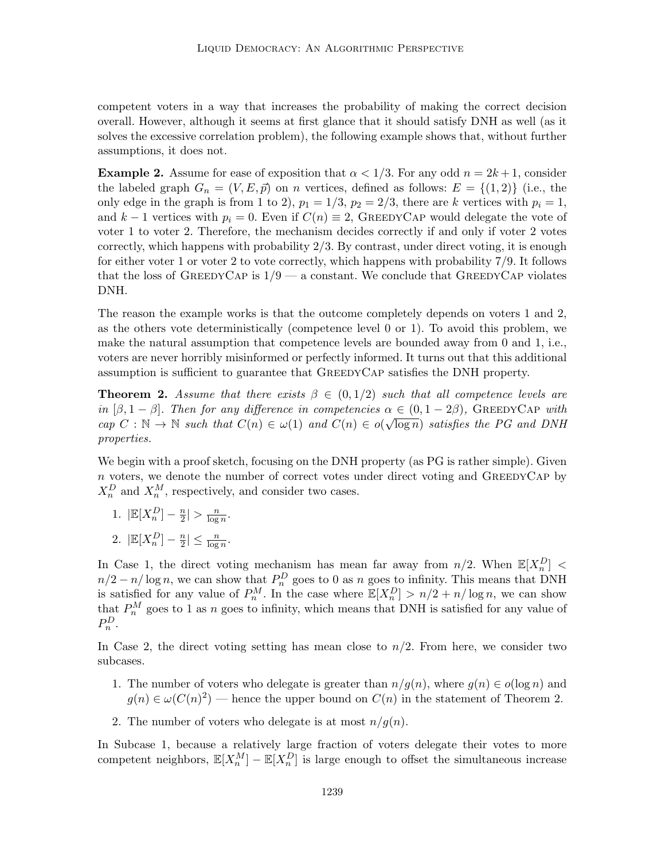competent voters in a way that increases the probability of making the correct decision overall. However, although it seems at first glance that it should satisfy DNH as well (as it solves the excessive correlation problem), the following example shows that, without further assumptions, it does not.

**Example 2.** Assume for ease of exposition that  $\alpha < 1/3$ . For any odd  $n = 2k + 1$ , consider the labeled graph  $G_n = (V, E, \vec{p})$  on n vertices, defined as follows:  $E = \{(1, 2)\}$  (i.e., the only edge in the graph is from 1 to 2),  $p_1 = 1/3$ ,  $p_2 = 2/3$ , there are k vertices with  $p_i = 1$ , and k – 1 vertices with  $p_i = 0$ . Even if  $C(n) \equiv 2$ , GREEDYCAP would delegate the vote of voter 1 to voter 2. Therefore, the mechanism decides correctly if and only if voter 2 votes correctly, which happens with probability 2/3. By contrast, under direct voting, it is enough for either voter 1 or voter 2 to vote correctly, which happens with probability 7/9. It follows that the loss of GREEDYCAP is  $1/9$  — a constant. We conclude that GREEDYCAP violates DNH.

The reason the example works is that the outcome completely depends on voters 1 and 2, as the others vote deterministically (competence level 0 or 1). To avoid this problem, we make the natural assumption that competence levels are bounded away from 0 and 1, i.e., voters are never horribly misinformed or perfectly informed. It turns out that this additional assumption is sufficient to guarantee that GreedyCap satisfies the DNH property.

**Theorem 2.** Assume that there exists  $\beta \in (0,1/2)$  such that all competence levels are in  $[\beta, 1 - \beta]$ . Then for any difference in competencies  $\alpha \in (0, 1 - 2\beta)$ , GREEDYCAP with  $cap C : \mathbb{N} \to \mathbb{N}$  such that  $C(n) \in \omega(1)$  and  $C(n) \in o(\sqrt{n})$  $\overline{\log n}$ ) satisfies the PG and DNH properties.

We begin with a proof sketch, focusing on the DNH property (as PG is rather simple). Given  $\boldsymbol{n}$  voters, we denote the number of correct votes under direct voting and GREEDYCAP by  $X_n^D$  and  $X_n^M$ , respectively, and consider two cases.

- 1.  $\left| \mathbb{E}[X_n^D] \frac{n}{2} \right|$  $\frac{n}{2}$  >  $\frac{n}{\log}$  $\frac{n}{\log n}$ .
- 2.  $\left| \mathbb{E}[X_n^D] \frac{n}{2} \right|$  $\frac{n}{2} \leq \frac{n}{\log n}.$

In Case 1, the direct voting mechanism has mean far away from  $n/2$ . When  $\mathbb{E}[X_n^D]$  <  $n/2 - n/\log n$ , we can show that  $P_n^D$  goes to 0 as n goes to infinity. This means that DNH is satisfied for any value of  $P_n^M$ . In the case where  $\mathbb{E}[X_n^D] > n/2 + n/\log n$ , we can show that  $P_n^M$  goes to 1 as n goes to infinity, which means that DNH is satisfied for any value of  $P_n^D$ .

In Case 2, the direct voting setting has mean close to  $n/2$ . From here, we consider two subcases.

- 1. The number of voters who delegate is greater than  $n/g(n)$ , where  $g(n) \in o(\log n)$  and  $g(n) \in \omega(C(n)^2)$  — hence the upper bound on  $C(n)$  in the statement of Theorem 2.
- 2. The number of voters who delegate is at most  $n/g(n)$ .

In Subcase 1, because a relatively large fraction of voters delegate their votes to more competent neighbors,  $\mathbb{E}[X_n^M] - \mathbb{E}[X_n^D]$  is large enough to offset the simultaneous increase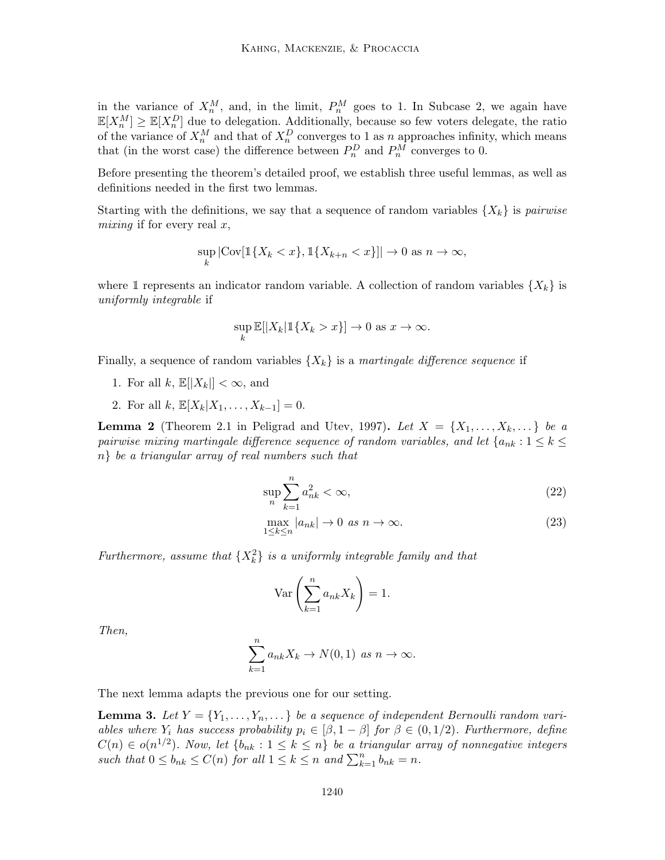in the variance of  $X_n^M$ , and, in the limit,  $P_n^M$  goes to 1. In Subcase 2, we again have  $\mathbb{E}[X_n^M] \geq \mathbb{E}[X_n^D]$  due to delegation. Additionally, because so few voters delegate, the ratio of the variance of  $X_n^M$  and that of  $X_n^D$  converges to 1 as n approaches infinity, which means that (in the worst case) the difference between  $P_n^D$  and  $P_n^M$  converges to 0.

Before presenting the theorem's detailed proof, we establish three useful lemmas, as well as definitions needed in the first two lemmas.

Starting with the definitions, we say that a sequence of random variables  $\{X_k\}$  is pairwise mixing if for every real  $x$ ,

$$
\sup_{k} |\text{Cov}[\mathbb{1}\{X_k < x\}, \mathbb{1}\{X_{k+n} < x\}]| \to 0 \text{ as } n \to \infty,
$$

where 1 represents an indicator random variable. A collection of random variables  $\{X_k\}$  is uniformly integrable if

$$
\sup_k \mathbb{E}[|X_k|1\{X_k > x\}] \to 0 \text{ as } x \to \infty.
$$

Finally, a sequence of random variables  $\{X_k\}$  is a martingale difference sequence if

- 1. For all k,  $\mathbb{E}[|X_k|] < \infty$ , and
- 2. For all  $k, \mathbb{E}[X_k|X_1, \ldots, X_{k-1}] = 0.$

**Lemma 2** (Theorem 2.1 in Peligrad and Utev, 1997). Let  $X = \{X_1, \ldots, X_k, \ldots\}$  be a pairwise mixing martingale difference sequence of random variables, and let  $\{a_{nk}:1\leq k\leq n\}$ n} be a triangular array of real numbers such that

$$
\sup_{n} \sum_{k=1}^{n} a_{nk}^2 < \infty,\tag{22}
$$

$$
\max_{1 \le k \le n} |a_{nk}| \to 0 \text{ as } n \to \infty. \tag{23}
$$

Furthermore, assume that  $\{X_k^2\}$  is a uniformly integrable family and that

$$
\operatorname{Var}\left(\sum_{k=1}^{n} a_{nk} X_k\right) = 1.
$$

Then,

$$
\sum_{k=1}^{n} a_{nk} X_k \to N(0,1) \text{ as } n \to \infty.
$$

The next lemma adapts the previous one for our setting.

**Lemma 3.** Let  $Y = \{Y_1, \ldots, Y_n, \ldots\}$  be a sequence of independent Bernoulli random variables where  $Y_i$  has success probability  $p_i \in [\beta, 1 - \beta]$  for  $\beta \in (0, 1/2)$ . Furthermore, define  $C(n) \in o(n^{1/2})$ . Now, let  $\{b_{nk} : 1 \leq k \leq n\}$  be a triangular array of nonnegative integers such that  $0 \le b_{nk} \le C(n)$  for all  $1 \le k \le n$  and  $\sum_{k=1}^{n} b_{nk} = n$ .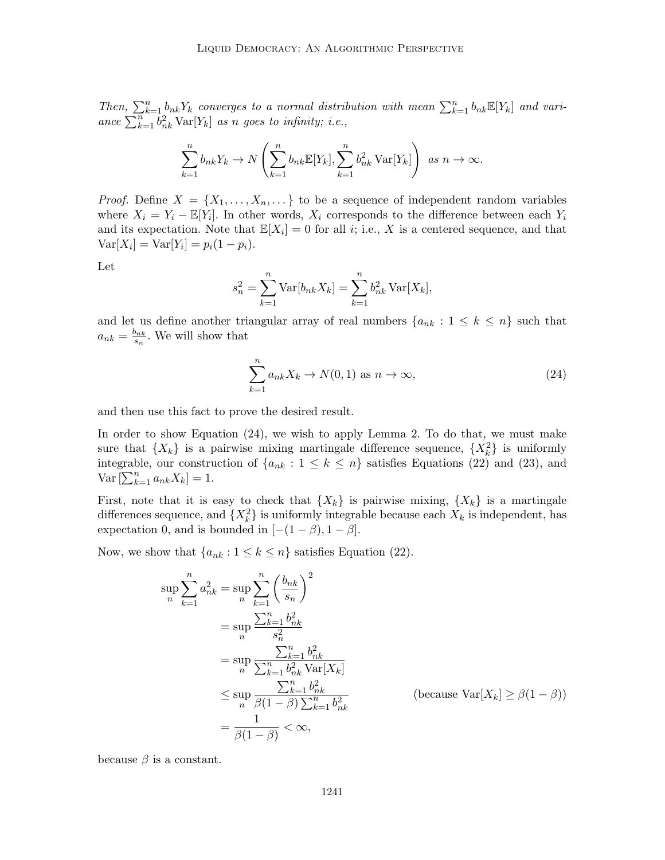Then,  $\sum_{k=1}^{n} b_{nk} Y_k$  converges to a normal distribution with mean  $\sum_{k=1}^{n} b_{nk} \mathbb{E}[Y_k]$  and variance  $\sum_{k=1}^{n} b_{nk}^2 \text{Var}[Y_k]$  as n goes to infinity; i.e.,

$$
\sum_{k=1}^{n} b_{nk} Y_k \to N\left(\sum_{k=1}^{n} b_{nk} \mathbb{E}[Y_k], \sum_{k=1}^{n} b_{nk}^2 \text{Var}[Y_k]\right) \text{ as } n \to \infty.
$$

*Proof.* Define  $X = \{X_1, \ldots, X_n, \ldots\}$  to be a sequence of independent random variables where  $X_i = Y_i - \mathbb{E}[Y_i]$ . In other words,  $X_i$  corresponds to the difference between each  $Y_i$ and its expectation. Note that  $\mathbb{E}[X_i] = 0$  for all *i*; i.e., X is a centered sequence, and that  $Var[X_i] = Var[Y_i] = p_i(1 - p_i).$ 

Let

$$
s_n^2 = \sum_{k=1}^n \text{Var}[b_{nk} X_k] = \sum_{k=1}^n b_{nk}^2 \text{Var}[X_k],
$$

and let us define another triangular array of real numbers  $\{a_{nk} : 1 \leq k \leq n\}$  such that  $a_{nk} = \frac{b_{nk}}{s_n}$  $\frac{\partial n k}{\partial s_n}$ . We will show that

$$
\sum_{k=1}^{n} a_{nk} X_k \to N(0, 1) \text{ as } n \to \infty,
$$
\n(24)

and then use this fact to prove the desired result.

In order to show Equation (24), we wish to apply Lemma 2. To do that, we must make sure that  $\{X_k\}$  is a pairwise mixing martingale difference sequence,  $\{X_k^2\}$  is uniformly integrable, our construction of  $\{a_{nk} : 1 \leq k \leq n\}$  satisfies Equations (22) and (23), and  $\text{Var}\left[\sum_{k=1}^{n} a_{nk} X_k\right] = 1.$ 

First, note that it is easy to check that  $\{X_k\}$  is pairwise mixing,  $\{X_k\}$  is a martingale differences sequence, and  $\{X_k^2\}$  is uniformly integrable because each  $X_k$  is independent, has expectation 0, and is bounded in  $[-(1 - \beta), 1 - \beta]$ .

Now, we show that  $\{a_{nk} : 1 \leq k \leq n\}$  satisfies Equation (22).

$$
\sup_{n} \sum_{k=1}^{n} a_{nk}^{2} = \sup_{n} \sum_{k=1}^{n} \left(\frac{b_{nk}}{s_{n}}\right)^{2}
$$
  

$$
= \sup_{n} \frac{\sum_{k=1}^{n} b_{nk}^{2}}{s_{n}^{2}}
$$
  

$$
= \sup_{n} \frac{\sum_{k=1}^{n} b_{nk}^{2}}{\sum_{k=1}^{n} b_{nk}^{2} \text{Var}[X_{k}]}
$$
  

$$
\leq \sup_{n} \frac{\sum_{k=1}^{n} b_{nk}^{2}}{\beta(1-\beta) \sum_{k=1}^{n} b_{nk}^{2}}
$$
 (because Var[X\_{k}]  $\geq \beta(1 - \beta)$   

$$
= \frac{1}{\beta(1-\beta)} < \infty,
$$

 $(\alpha - \beta)$ 

because  $\beta$  is a constant.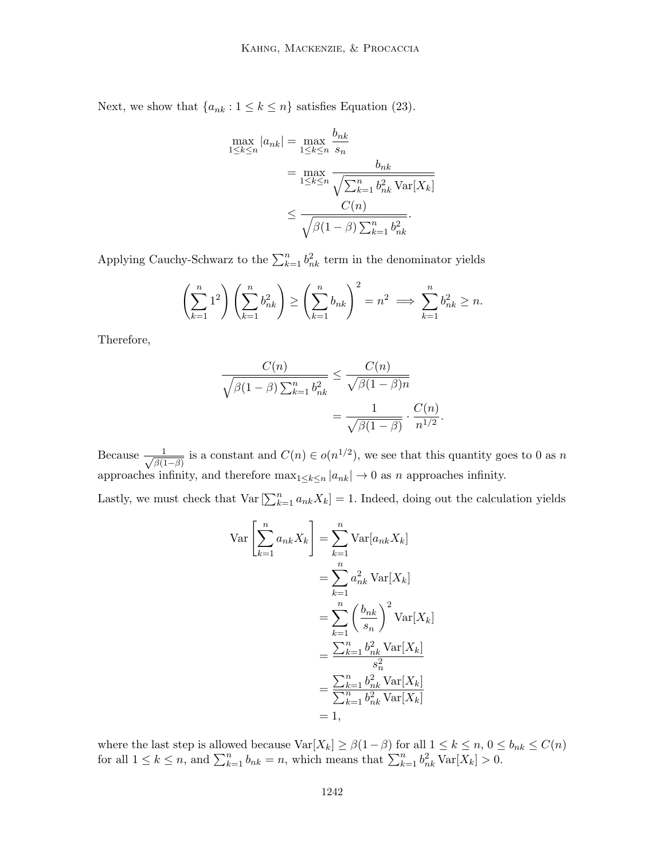Next, we show that  $\{a_{nk} : 1 \leq k \leq n\}$  satisfies Equation (23).

$$
\max_{1 \le k \le n} |a_{nk}| = \max_{1 \le k \le n} \frac{b_{nk}}{s_n}
$$

$$
= \max_{1 \le k \le n} \frac{b_{nk}}{\sqrt{\sum_{k=1}^n b_{nk}^2 \text{Var}[X_k]}}
$$

$$
\le \frac{C(n)}{\sqrt{\beta(1-\beta)\sum_{k=1}^n b_{nk}^2}}.
$$

Applying Cauchy-Schwarz to the  $\sum_{k=1}^{n} b_{nk}^2$  term in the denominator yields

$$
\left(\sum_{k=1}^n 1^2\right)\left(\sum_{k=1}^n b_{nk}^2\right) \ge \left(\sum_{k=1}^n b_{nk}\right)^2 = n^2 \implies \sum_{k=1}^n b_{nk}^2 \ge n.
$$

Therefore,

$$
\frac{C(n)}{\sqrt{\beta(1-\beta)\sum_{k=1}^n b_{nk}^2}} \le \frac{C(n)}{\sqrt{\beta(1-\beta)n}}
$$

$$
= \frac{1}{\sqrt{\beta(1-\beta)}} \cdot \frac{C(n)}{n^{1/2}}.
$$

Because  $\frac{1}{\sqrt{24}}$  $\frac{1}{\beta(1-\beta)}$  is a constant and  $C(n) \in o(n^{1/2})$ , we see that this quantity goes to 0 as n approaches infinity, and therefore  $\max_{1 \leq k \leq n} |a_{nk}| \to 0$  as n approaches infinity.

Lastly, we must check that  $\text{Var}\left[\sum_{k=1}^{n} a_{nk} X_k\right] = 1$ . Indeed, doing out the calculation yields

$$
\operatorname{Var}\left[\sum_{k=1}^{n} a_{nk} X_k\right] = \sum_{k=1}^{n} \operatorname{Var}[a_{nk} X_k]
$$

$$
= \sum_{k=1}^{n} a_{nk}^2 \operatorname{Var}[X_k]
$$

$$
= \sum_{k=1}^{n} \left(\frac{b_{nk}}{s_n}\right)^2 \operatorname{Var}[X_k]
$$

$$
= \frac{\sum_{k=1}^{n} b_{nk}^2 \operatorname{Var}[X_k]}{s_n^2}
$$

$$
= \frac{\sum_{k=1}^{n} b_{nk}^2 \operatorname{Var}[X_k]}{\sum_{k=1}^{n} b_{nk}^2 \operatorname{Var}[X_k]}
$$

$$
= 1,
$$

where the last step is allowed because  $\text{Var}[X_k] \geq \beta(1-\beta)$  for all  $1 \leq k \leq n, 0 \leq b_{nk} \leq C(n)$ for all  $1 \leq k \leq n$ , and  $\sum_{k=1}^{n} b_{nk} = n$ , which means that  $\sum_{k=1}^{n} b_{nk}^2 \text{Var}[X_k] > 0$ .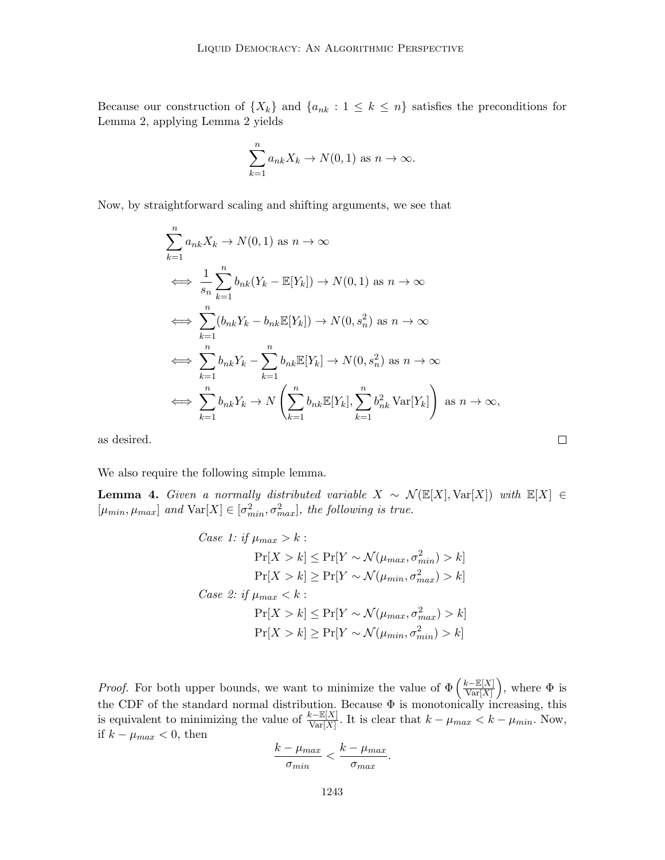Because our construction of  $\{X_k\}$  and  $\{a_{nk} : 1 \leq k \leq n\}$  satisfies the preconditions for Lemma 2, applying Lemma 2 yields

$$
\sum_{k=1}^{n} a_{nk} X_k \to N(0, 1) \text{ as } n \to \infty.
$$

Now, by straightforward scaling and shifting arguments, we see that

$$
\sum_{k=1}^{n} a_{nk} X_k \to N(0, 1) \text{ as } n \to \infty
$$
\n
$$
\iff \frac{1}{s_n} \sum_{k=1}^{n} b_{nk} (Y_k - \mathbb{E}[Y_k]) \to N(0, 1) \text{ as } n \to \infty
$$
\n
$$
\iff \sum_{k=1}^{n} (b_{nk} Y_k - b_{nk} \mathbb{E}[Y_k]) \to N(0, s_n^2) \text{ as } n \to \infty
$$
\n
$$
\iff \sum_{k=1}^{n} b_{nk} Y_k - \sum_{k=1}^{n} b_{nk} \mathbb{E}[Y_k] \to N(0, s_n^2) \text{ as } n \to \infty
$$
\n
$$
\iff \sum_{k=1}^{n} b_{nk} Y_k \to N\left(\sum_{k=1}^{n} b_{nk} \mathbb{E}[Y_k], \sum_{k=1}^{n} b_{nk}^2 \text{Var}[Y_k]\right) \text{ as } n \to \infty,
$$

 $\Box$ 

as desired.

We also require the following simple lemma.

Lemma 4. Given a normally distributed variable  $X \sim \mathcal{N}(\mathbb{E}[X], \text{Var}[X])$  with  $\mathbb{E}[X] \in$  $[\mu_{min}, \mu_{max}]$  and  $\text{Var}[X] \in [\sigma_{min}^2, \sigma_{max}^2]$ , the following is true.

Case 1: if 
$$
\mu_{max} > k
$$
:  
\n
$$
\Pr[X > k] \le \Pr[Y \sim \mathcal{N}(\mu_{max}, \sigma_{min}^2) > k]
$$
\n
$$
\Pr[X > k] \ge \Pr[Y \sim \mathcal{N}(\mu_{min}, \sigma_{max}^2) > k]
$$
\nCase 2: if  $\mu_{max} < k$ :  
\n
$$
\Pr[X > k] \le \Pr[Y \sim \mathcal{N}(\mu_{max}, \sigma_{max}^2) > k]
$$
\n
$$
\Pr[X > k] \ge \Pr[Y \sim \mathcal{N}(\mu_{min}, \sigma_{min}^2) > k]
$$

*Proof.* For both upper bounds, we want to minimize the value of  $\Phi\left(\frac{k-\mathbb{E}[X]}{\sum_{\alpha} |X|}\right)$  $\frac{k-\mathbb{E}[X]}{\text{Var}[X]}$ , where  $\Phi$  is the CDF of the standard normal distribution. Because  $\Phi$  is monotonically increasing, this is equivalent to minimizing the value of  $\frac{k-\mathbb{E}[X]}{\text{Var}[X]}$ . It is clear that  $k - \mu_{max} < k - \mu_{min}$ . Now, if  $k - \mu_{max} < 0$ , then

$$
\frac{k-\mu_{max}}{\sigma_{min}} < \frac{k-\mu_{max}}{\sigma_{max}}.
$$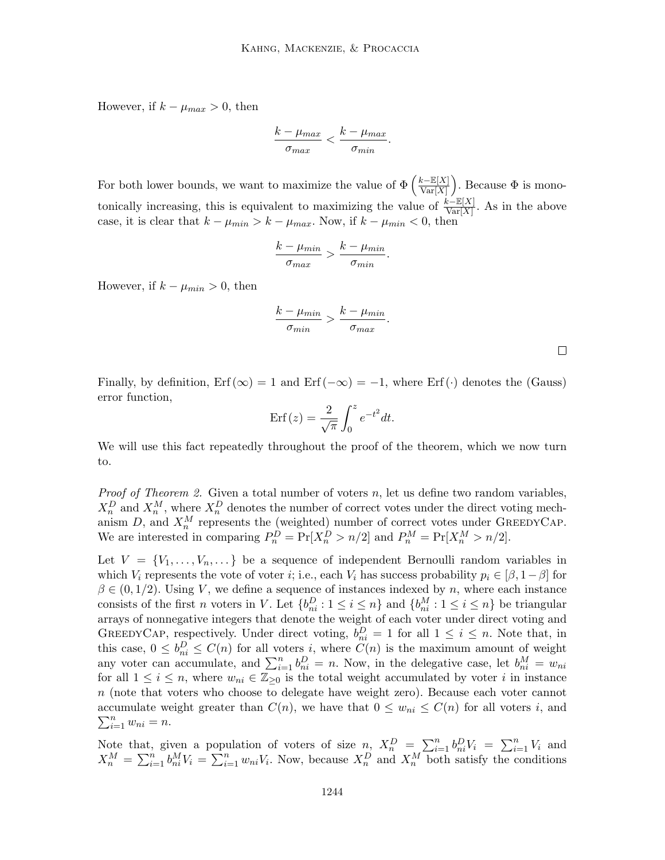However, if  $k - \mu_{max} > 0$ , then

$$
\frac{k-\mu_{max}}{\sigma_{max}} < \frac{k-\mu_{max}}{\sigma_{min}}.
$$

For both lower bounds, we want to maximize the value of  $\Phi\left(\frac{k-\mathbb{E}[X]}{Var[X]} \right)$  $\frac{k-\mathbb{E}[X]}{\text{Var}[X]}$ . Because  $\Phi$  is monotonically increasing, this is equivalent to maximizing the value of  $\frac{k-\mathbb{E}[X]}{\text{Var}[X]}$ . As in the above case, it is clear that  $k - \mu_{min} > k - \mu_{max}$ . Now, if  $k - \mu_{min} < 0$ , then

$$
\frac{k-\mu_{min}}{\sigma_{max}} > \frac{k-\mu_{min}}{\sigma_{min}}.
$$

However, if  $k - \mu_{min} > 0$ , then

$$
\frac{k-\mu_{min}}{\sigma_{min}} > \frac{k-\mu_{min}}{\sigma_{max}}.
$$

 $\Box$ 

Finally, by definition,  $\text{Erf}(\infty) = 1$  and  $\text{Erf}(-\infty) = -1$ , where  $\text{Erf}(\cdot)$  denotes the (Gauss) error function,

$$
Erf(z) = \frac{2}{\sqrt{\pi}} \int_0^z e^{-t^2} dt.
$$

We will use this fact repeatedly throughout the proof of the theorem, which we now turn to.

*Proof of Theorem 2.* Given a total number of voters  $n$ , let us define two random variables,  $X_n^D$  and  $X_n^M$ , where  $X_n^D$  denotes the number of correct votes under the direct voting mechanism  $D$ , and  $X_n^M$  represents the (weighted) number of correct votes under GREEDYCAP. We are interested in comparing  $P_n^D = \Pr[X_n^D > n/2]$  and  $P_n^M = \Pr[X_n^M > n/2]$ .

Let  $V = \{V_1, \ldots, V_n, \ldots\}$  be a sequence of independent Bernoulli random variables in which  $V_i$  represents the vote of voter i; i.e., each  $V_i$  has success probability  $p_i \in [\beta, 1-\beta]$  for  $\beta \in (0, 1/2)$ . Using V, we define a sequence of instances indexed by n, where each instance consists of the first *n* voters in V. Let  $\{b_{ni}^D : 1 \le i \le n\}$  and  $\{b_{ni}^M : 1 \le i \le n\}$  be triangular arrays of nonnegative integers that denote the weight of each voter under direct voting and GREEDYCAP, respectively. Under direct voting,  $b_{ni}^D = 1$  for all  $1 \leq i \leq n$ . Note that, in this case,  $0 \leq b_{ni}^D \leq C(n)$  for all voters *i*, where  $C(n)$  is the maximum amount of weight any voter can accumulate, and  $\sum_{i=1}^{n} b_{ni}^{D} = n$ . Now, in the delegative case, let  $b_{ni}^{M} = w_{ni}$ for all  $1 \leq i \leq n$ , where  $w_{ni} \in \mathbb{Z}_{\geq 0}$  is the total weight accumulated by voter i in instance n (note that voters who choose to delegate have weight zero). Because each voter cannot accumulate weight greater than  $C(n)$ , we have that  $0 \leq w_{ni} \leq C(n)$  for all voters i, and  $\sum_{i=1}^n w_{ni} = n.$ 

Note that, given a population of voters of size  $n_i$ ,  $X_n^D = \sum_{i=1}^n b_{ni}^D V_i = \sum_{i=1}^n V_i$  and  $X_n^M = \sum_{i=1}^n b_{ni}^M V_i = \sum_{i=1}^n w_{ni} V_i$ . Now, because  $X_n^D$  and  $X_n^M$  both satisfy the conditions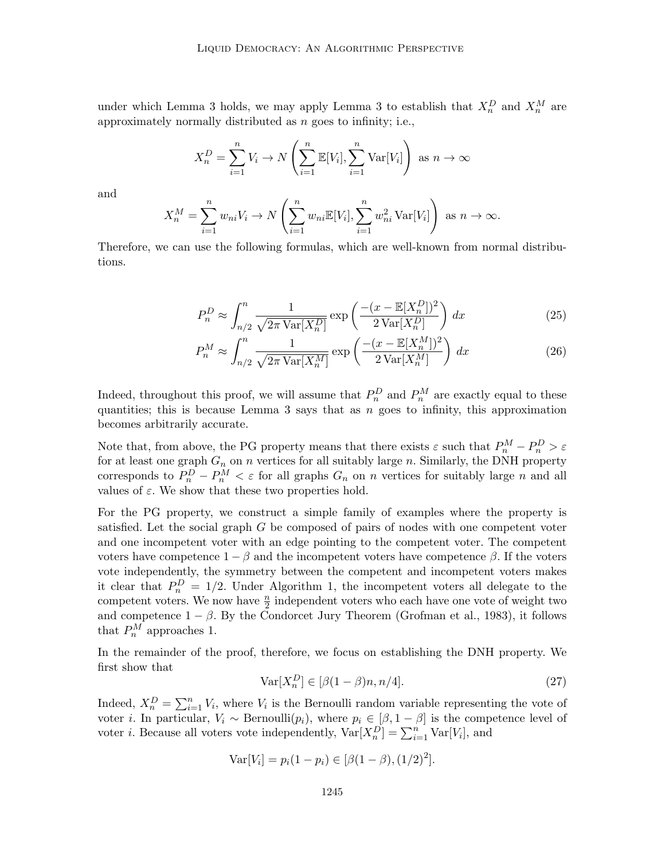under which Lemma 3 holds, we may apply Lemma 3 to establish that  $X_n^D$  and  $X_n^M$  are approximately normally distributed as  $n$  goes to infinity; i.e.,

$$
X_n^D = \sum_{i=1}^n V_i \to N\left(\sum_{i=1}^n \mathbb{E}[V_i], \sum_{i=1}^n \text{Var}[V_i]\right) \text{ as } n \to \infty
$$

and

$$
X_n^M = \sum_{i=1}^n w_{ni} V_i \to N\left(\sum_{i=1}^n w_{ni} \mathbb{E}[V_i], \sum_{i=1}^n w_{ni}^2 \operatorname{Var}[V_i]\right) \text{ as } n \to \infty.
$$

Therefore, we can use the following formulas, which are well-known from normal distributions.

$$
P_n^D \approx \int_{n/2}^n \frac{1}{\sqrt{2\pi \operatorname{Var}[X_n^D]}} \exp\left(\frac{-(x - \mathbb{E}[X_n^D])^2}{2\operatorname{Var}[X_n^D]}\right) dx \tag{25}
$$

$$
P_n^M \approx \int_{n/2}^n \frac{1}{\sqrt{2\pi \operatorname{Var}[X_n^M]}} \exp\left(\frac{-(x - \mathbb{E}[X_n^M])^2}{2\operatorname{Var}[X_n^M]}\right) dx \tag{26}
$$

Indeed, throughout this proof, we will assume that  $P_n^D$  and  $P_n^M$  are exactly equal to these quantities; this is because Lemma 3 says that as  $n$  goes to infinity, this approximation becomes arbitrarily accurate.

Note that, from above, the PG property means that there exists  $\varepsilon$  such that  $P_n^M - P_n^D > \varepsilon$ for at least one graph  $G_n$  on n vertices for all suitably large n. Similarly, the DNH property corresponds to  $P_n^D - P_n^M < \varepsilon$  for all graphs  $G_n$  on n vertices for suitably large n and all values of  $\varepsilon$ . We show that these two properties hold.

For the PG property, we construct a simple family of examples where the property is satisfied. Let the social graph  $G$  be composed of pairs of nodes with one competent voter and one incompetent voter with an edge pointing to the competent voter. The competent voters have competence  $1 - \beta$  and the incompetent voters have competence  $\beta$ . If the voters vote independently, the symmetry between the competent and incompetent voters makes it clear that  $P_n^D = 1/2$ . Under Algorithm 1, the incompetent voters all delegate to the competent voters. We now have  $\frac{n}{2}$  independent voters who each have one vote of weight two and competence  $1 - \beta$ . By the Condorcet Jury Theorem (Grofman et al., 1983), it follows that  $P_n^M$  approaches 1.

In the remainder of the proof, therefore, we focus on establishing the DNH property. We first show that

$$
\text{Var}[X_n^D] \in [\beta(1-\beta)n, n/4].\tag{27}
$$

Indeed,  $X_n^D = \sum_{i=1}^n V_i$ , where  $V_i$  is the Bernoulli random variable representing the vote of voter *i*. In particular,  $V_i \sim \text{Bernoulli}(p_i)$ , where  $p_i \in [\beta, 1 - \beta]$  is the competence level of voter *i*. Because all voters vote independently,  $Var[X_n^D] = \sum_{i=1}^n Var[V_i]$ , and

Var[
$$
V_i
$$
] =  $p_i(1 - p_i) \in [\beta(1 - \beta), (1/2)^2]$ .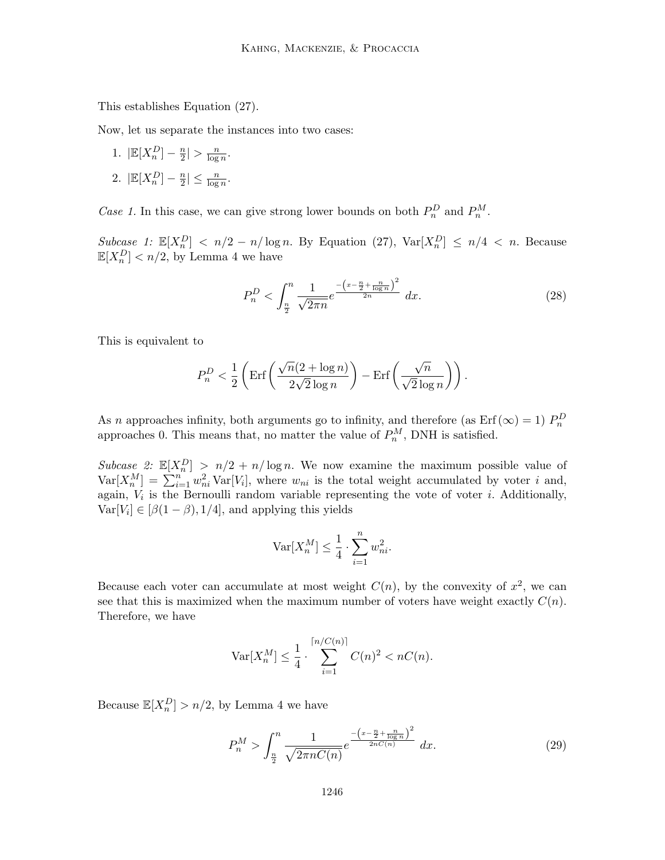This establishes Equation (27).

Now, let us separate the instances into two cases:

- 1.  $\left| \mathbb{E}[X_n^D] \frac{n}{2} \right|$  $\frac{n}{2}$  >  $\frac{n}{\log}$  $\frac{n}{\log n}$ .
- 2.  $\left| \mathbb{E}[X_n^D] \frac{n}{2} \right|$  $\frac{n}{2}$ |  $\leq \frac{n}{\log n}$ .

Case 1. In this case, we can give strong lower bounds on both  $P_n^D$  and  $P_n^M$ .

Subcase 1:  $\mathbb{E}[X_n^D] < n/2 - n/\log n$ . By Equation (27),  $\text{Var}[X_n^D] \le n/4 < n$ . Because  $\mathbb{E}[X_n^D] < n/2$ , by Lemma 4 we have

$$
P_n^D < \int_{\frac{n}{2}}^n \frac{1}{\sqrt{2\pi n}} e^{\frac{-\left(x - \frac{n}{2} + \frac{n}{\log n}\right)^2}{2n}} \, dx. \tag{28}
$$

This is equivalent to

$$
P_n^D < \frac{1}{2} \left( \text{Erf} \left( \frac{\sqrt{n} (2 + \log n)}{2\sqrt{2} \log n} \right) - \text{Erf} \left( \frac{\sqrt{n}}{\sqrt{2} \log n} \right) \right).
$$

As n approaches infinity, both arguments go to infinity, and therefore (as Erf ( $\infty$ ) = 1)  $P_n^D$ approaches 0. This means that, no matter the value of  $P_n^M$ , DNH is satisfied.

Subcase 2:  $\mathbb{E}[X_n^D] > n/2 + n/\log n$ . We now examine the maximum possible value of  $\text{Var}[X_n^M] = \sum_{i=1}^n w_{ni}^2 \text{Var}[V_i],$  where  $w_{ni}$  is the total weight accumulated by voter i and, again,  $V_i$  is the Bernoulli random variable representing the vote of voter *i*. Additionally,  $\text{Var}[V_i] \in [\beta(1-\beta), 1/4]$ , and applying this yields

$$
\text{Var}[X_n^M] \le \frac{1}{4} \cdot \sum_{i=1}^n w_{ni}^2.
$$

Because each voter can accumulate at most weight  $C(n)$ , by the convexity of  $x^2$ , we can see that this is maximized when the maximum number of voters have weight exactly  $C(n)$ . Therefore, we have

$$
\text{Var}[X_n^M] \le \frac{1}{4} \cdot \sum_{i=1}^{\lceil n/C(n) \rceil} C(n)^2 < nC(n).
$$

Because  $\mathbb{E}[X_n^D] > n/2$ , by Lemma 4 we have

$$
P_n^M > \int_{\frac{n}{2}}^n \frac{1}{\sqrt{2\pi nC(n)}} e^{-\frac{\left(x - \frac{n}{2} + \frac{n}{\log n}\right)^2}{2nC(n)}} dx.
$$
 (29)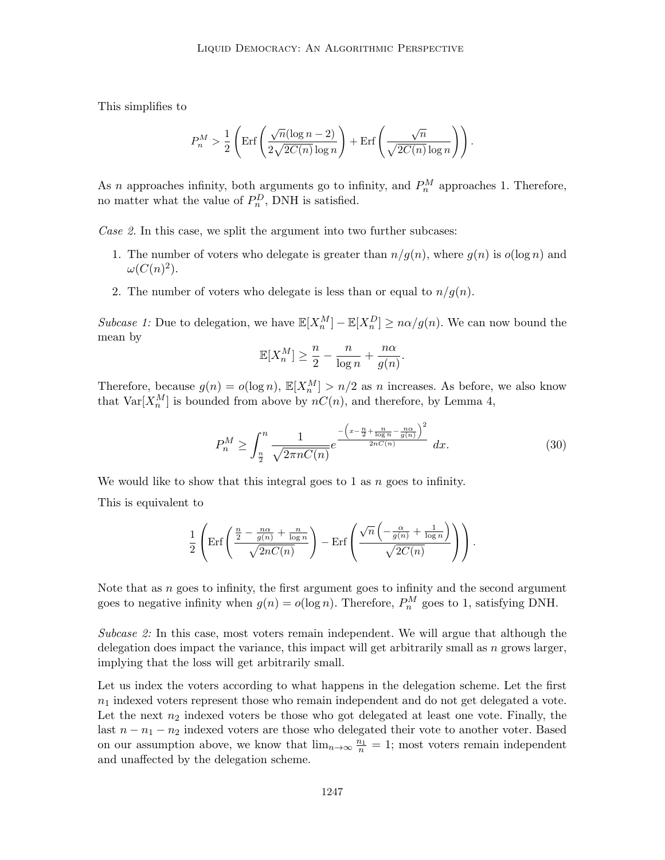This simplifies to

$$
P_n^M > \frac{1}{2} \left( \text{Erf} \left( \frac{\sqrt{n}(\log n - 2)}{2\sqrt{2C(n)}\log n} \right) + \text{Erf} \left( \frac{\sqrt{n}}{\sqrt{2C(n)}\log n} \right) \right).
$$

As *n* approaches infinity, both arguments go to infinity, and  $P_n^M$  approaches 1. Therefore, no matter what the value of  $P_n^D$ , DNH is satisfied.

Case 2. In this case, we split the argument into two further subcases:

- 1. The number of voters who delegate is greater than  $n/g(n)$ , where  $g(n)$  is  $o(\log n)$  and  $\omega(C(n)^2)$ .
- 2. The number of voters who delegate is less than or equal to  $n/g(n)$ .

Subcase 1: Due to delegation, we have  $\mathbb{E}[X_n^M] - \mathbb{E}[X_n^D] \geq n\alpha/g(n)$ . We can now bound the mean by

$$
\mathbb{E}[X_n^M] \ge \frac{n}{2} - \frac{n}{\log n} + \frac{n\alpha}{g(n)}.
$$

Therefore, because  $g(n) = o(\log n)$ ,  $\mathbb{E}[X_n^M] > n/2$  as n increases. As before, we also know that  $\text{Var}[X_n^M]$  is bounded from above by  $nC(n)$ , and therefore, by Lemma 4,

$$
P_n^M \ge \int_{\frac{n}{2}}^n \frac{1}{\sqrt{2\pi nC(n)}} e^{-\frac{\left(x - \frac{n}{2} + \frac{n}{\log n} - \frac{n\alpha}{g(n)}\right)^2}{2nC(n)}} dx.
$$
 (30)

We would like to show that this integral goes to 1 as  $n$  goes to infinity.

This is equivalent to

$$
\frac{1}{2}\left(\text{Erf}\left(\frac{\frac{n}{2}-\frac{n\alpha}{g(n)}+\frac{n}{\log n}}{\sqrt{2nC(n)}}\right)-\text{Erf}\left(\frac{\sqrt{n}\left(-\frac{\alpha}{g(n)}+\frac{1}{\log n}\right)}{\sqrt{2C(n)}}\right)\right).
$$

Note that as  $n$  goes to infinity, the first argument goes to infinity and the second argument goes to negative infinity when  $g(n) = o(\log n)$ . Therefore,  $P_n^M$  goes to 1, satisfying DNH.

Subcase 2: In this case, most voters remain independent. We will argue that although the delegation does impact the variance, this impact will get arbitrarily small as  $n$  grows larger, implying that the loss will get arbitrarily small.

Let us index the voters according to what happens in the delegation scheme. Let the first  $n_1$  indexed voters represent those who remain independent and do not get delegated a vote. Let the next  $n_2$  indexed voters be those who got delegated at least one vote. Finally, the last  $n - n_1 - n_2$  indexed voters are those who delegated their vote to another voter. Based on our assumption above, we know that  $\lim_{n\to\infty} \frac{n_1}{n} = 1$ ; most voters remain independent and unaffected by the delegation scheme.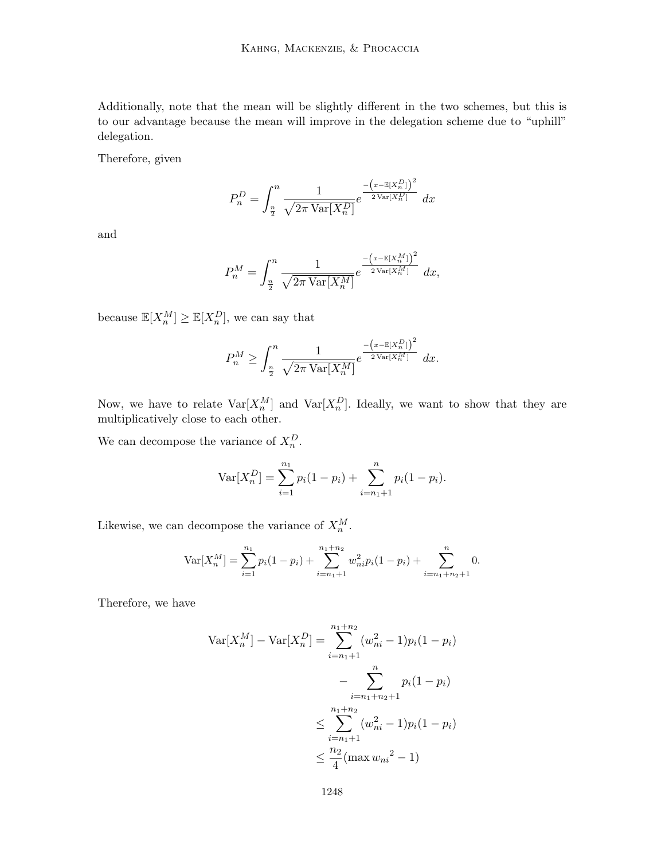Additionally, note that the mean will be slightly different in the two schemes, but this is to our advantage because the mean will improve in the delegation scheme due to "uphill" delegation.

Therefore, given

$$
P_n^D = \int_{\frac{n}{2}}^n \frac{1}{\sqrt{2\pi \operatorname{Var}[X_n^D]}} e^{\frac{-\left(x - \mathbb{E}[X_n^D]\right)^2}{2\operatorname{Var}[X_n^D]}} dx
$$

and

$$
P_n^M = \int_{\frac{n}{2}}^n \frac{1}{\sqrt{2\pi \operatorname{Var}[X_n^M]}} e^{\frac{-\left(x - \mathbb{E}[X_n^M]\right)^2}{2\operatorname{Var}[X_n^M]}} dx,
$$

because  $\mathbb{E}[X_n^M] \geq \mathbb{E}[X_n^D]$ , we can say that

$$
P_n^M \geq \int_{\frac{n}{2}}^n \frac{1}{\sqrt{2\pi \operatorname{Var}[X_n^M]}} e^{\frac{-\left(x - \mathbb{E}[X_n^D]\right)^2}{2\operatorname{Var}[X_n^M]}} dx.
$$

Now, we have to relate  $\text{Var}[X_n^M]$  and  $\text{Var}[X_n^D]$ . Ideally, we want to show that they are multiplicatively close to each other.

We can decompose the variance of  $X_n^D$ .

$$
Var[X_n^D] = \sum_{i=1}^{n_1} p_i (1 - p_i) + \sum_{i=n_1+1}^{n} p_i (1 - p_i).
$$

Likewise, we can decompose the variance of  $X_n^M$ .

$$
\operatorname{Var}[X_n^M] = \sum_{i=1}^{n_1} p_i (1 - p_i) + \sum_{i=n_1+1}^{n_1+n_2} w_{ni}^2 p_i (1 - p_i) + \sum_{i=n_1+n_2+1}^{n} 0.
$$

Therefore, we have

$$
\operatorname{Var}[X_n^M] - \operatorname{Var}[X_n^D] = \sum_{i=n_1+1}^{n_1+n_2} (w_{ni}^2 - 1)p_i(1 - p_i)
$$

$$
- \sum_{i=n_1+n_2+1}^{n} p_i(1 - p_i)
$$

$$
\leq \sum_{i=n_1+1}^{n_1+n_2} (w_{ni}^2 - 1)p_i(1 - p_i)
$$

$$
\leq \frac{n_2}{4} (\max w_{ni}^2 - 1)
$$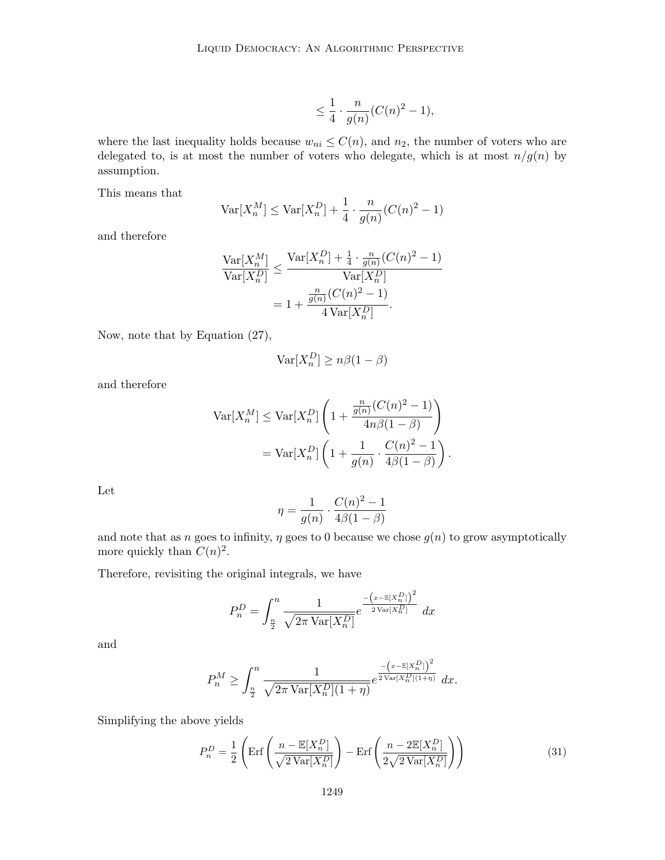$$
\leq \frac{1}{4} \cdot \frac{n}{g(n)}(C(n)^2 - 1),
$$

where the last inequality holds because  $w_{ni} \leq C(n)$ , and  $n_2$ , the number of voters who are delegated to, is at most the number of voters who delegate, which is at most  $n/g(n)$  by assumption.

This means that

$$
\text{Var}[X_n^M] \le \text{Var}[X_n^D] + \frac{1}{4} \cdot \frac{n}{g(n)}(C(n)^2 - 1)
$$

and therefore

$$
\frac{\text{Var}[X_n^M]}{\text{Var}[X_n^D]} \le \frac{\text{Var}[X_n^D] + \frac{1}{4} \cdot \frac{n}{g(n)}(C(n)^2 - 1)}{\text{Var}[X_n^D]}
$$

$$
= 1 + \frac{\frac{n}{g(n)}(C(n)^2 - 1)}{4\text{Var}[X_n^D]}.
$$

Now, note that by Equation (27),

$$
\text{Var}[X_n^D] \ge n\beta(1-\beta)
$$

and therefore

$$
\operatorname{Var}[X_n^M] \le \operatorname{Var}[X_n^D] \left( 1 + \frac{\frac{n}{g(n)}(C(n)^2 - 1)}{4n\beta(1 - \beta)} \right)
$$

$$
= \operatorname{Var}[X_n^D] \left( 1 + \frac{1}{g(n)} \cdot \frac{C(n)^2 - 1}{4\beta(1 - \beta)} \right)
$$

.

Let

$$
\eta = \frac{1}{g(n)} \cdot \frac{C(n)^2 - 1}{4\beta(1 - \beta)}
$$

and note that as n goes to infinity,  $\eta$  goes to 0 because we chose  $g(n)$  to grow asymptotically more quickly than  $C(n)^2$ .

Therefore, revisiting the original integrals, we have

$$
P_n^D = \int_{\frac{n}{2}}^n \frac{1}{\sqrt{2\pi \operatorname{Var}[X_n^D]}} e^{\frac{-\left(x - \mathbb{E}[X_n^D]\right)^2}{2\operatorname{Var}[X_n^D]}} dx
$$

and

$$
P_n^M \ge \int_{\frac{n}{2}}^n \frac{1}{\sqrt{2\pi \operatorname{Var}[X_n^D](1+\eta)}} e^{\frac{-\left(x - \mathbb{E}[X_n^D]\right)^2}{2\operatorname{Var}[X_n^D](1+\eta)}} dx.
$$

Simplifying the above yields

$$
P_n^D = \frac{1}{2} \left( \text{Erf} \left( \frac{n - \mathbb{E}[X_n^D]}{\sqrt{2 \text{Var}[X_n^D]}} \right) - \text{Erf} \left( \frac{n - 2 \mathbb{E}[X_n^D]}{2 \sqrt{2 \text{Var}[X_n^D]}} \right) \right)
$$
(31)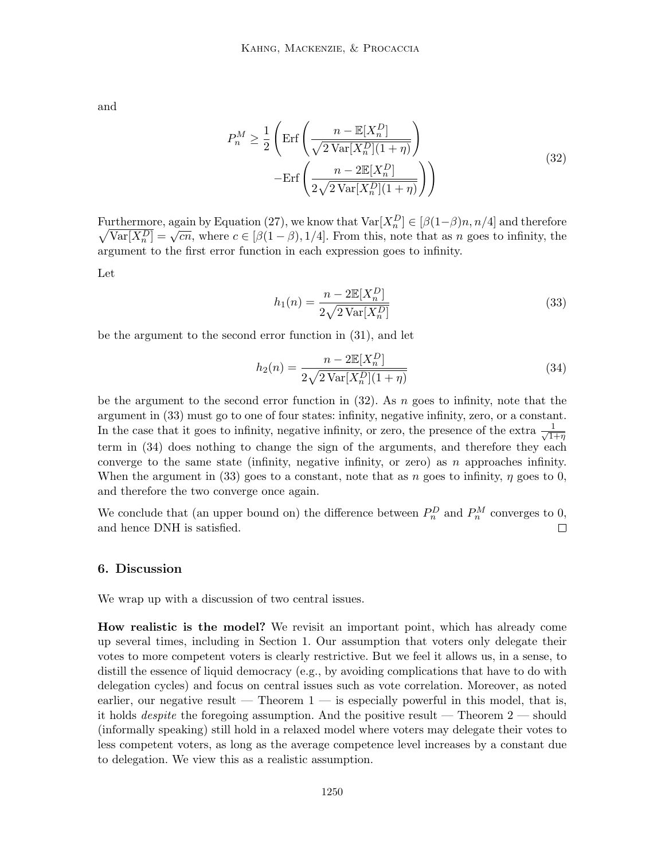and

$$
P_n^M \ge \frac{1}{2} \left( \text{Erf} \left( \frac{n - \mathbb{E}[X_n^D]}{\sqrt{2 \text{Var}[X_n^D](1 + \eta)}} \right) - \text{Erf} \left( \frac{n - 2 \mathbb{E}[X_n^D]}{2 \sqrt{2 \text{Var}[X_n^D](1 + \eta)}} \right) \right)
$$
(32)

Furthermore, again by Equation (27), we know that  $\text{Var}[X_n^D] \in [\beta(1-\beta)n, n/4]$  and therefore Furthermore, again by Equation (21), we know that  $\text{var}[X_n] \in [\rho(1-\rho)n, n/4]$  and therefore  $\sqrt{\text{Var}[X_n^D]} = \sqrt{cn}$ , where  $c \in [\beta(1-\beta), 1/4]$ . From this, note that as n goes to infinity, the argument to the first error function in each expression goes to infinity.

Let

$$
h_1(n) = \frac{n - 2\mathbb{E}[X_n^D]}{2\sqrt{2\text{Var}[X_n^D]}}
$$
\n(33)

be the argument to the second error function in (31), and let

$$
h_2(n) = \frac{n - 2\mathbb{E}[X_n^D]}{2\sqrt{2\text{Var}[X_n^D](1+\eta)}}
$$
(34)

be the argument to the second error function in  $(32)$ . As n goes to infinity, note that the argument in (33) must go to one of four states: infinity, negative infinity, zero, or a constant. In the case that it goes to infinity, negative infinity, or zero, the presence of the extra  $\frac{1}{\sqrt{1}}$  $\overline{1+\eta}$ term in (34) does nothing to change the sign of the arguments, and therefore they each converge to the same state (infinity, negative infinity, or zero) as  $n$  approaches infinity. When the argument in (33) goes to a constant, note that as n goes to infinity,  $\eta$  goes to 0, and therefore the two converge once again.

We conclude that (an upper bound on) the difference between  $P_n^D$  and  $P_n^M$  converges to 0, and hence DNH is satisfied.  $\Box$ 

#### 6. Discussion

We wrap up with a discussion of two central issues.

How realistic is the model? We revisit an important point, which has already come up several times, including in Section 1. Our assumption that voters only delegate their votes to more competent voters is clearly restrictive. But we feel it allows us, in a sense, to distill the essence of liquid democracy (e.g., by avoiding complications that have to do with delegation cycles) and focus on central issues such as vote correlation. Moreover, as noted earlier, our negative result — Theorem  $1$  — is especially powerful in this model, that is, it holds *despite* the foregoing assumption. And the positive result — Theorem  $2$  — should (informally speaking) still hold in a relaxed model where voters may delegate their votes to less competent voters, as long as the average competence level increases by a constant due to delegation. We view this as a realistic assumption.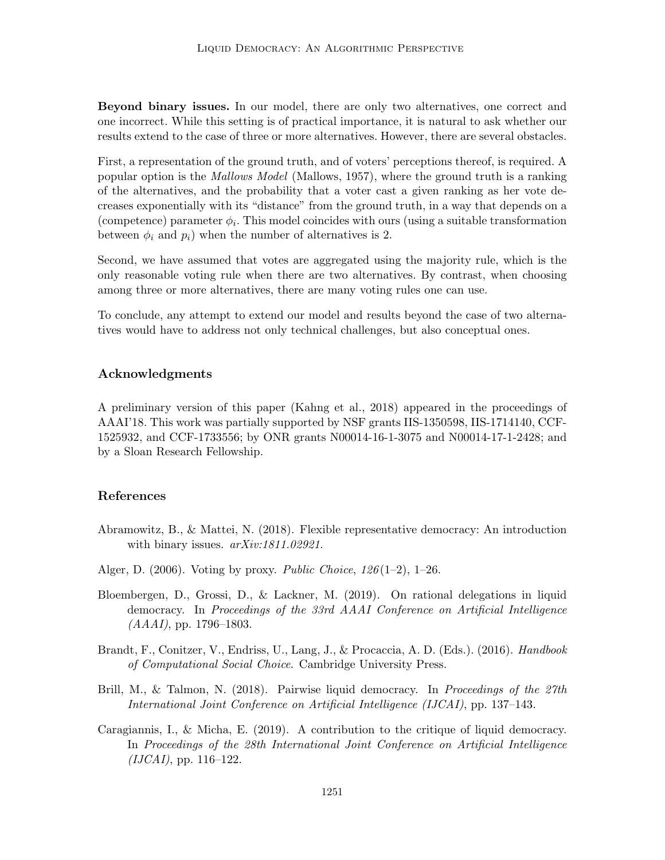Beyond binary issues. In our model, there are only two alternatives, one correct and one incorrect. While this setting is of practical importance, it is natural to ask whether our results extend to the case of three or more alternatives. However, there are several obstacles.

First, a representation of the ground truth, and of voters' perceptions thereof, is required. A popular option is the *Mallows Model* (Mallows, 1957), where the ground truth is a ranking of the alternatives, and the probability that a voter cast a given ranking as her vote decreases exponentially with its "distance" from the ground truth, in a way that depends on a (competence) parameter  $\phi_i$ . This model coincides with ours (using a suitable transformation between  $\phi_i$  and  $p_i$ ) when the number of alternatives is 2.

Second, we have assumed that votes are aggregated using the majority rule, which is the only reasonable voting rule when there are two alternatives. By contrast, when choosing among three or more alternatives, there are many voting rules one can use.

To conclude, any attempt to extend our model and results beyond the case of two alternatives would have to address not only technical challenges, but also conceptual ones.

#### Acknowledgments

A preliminary version of this paper (Kahng et al., 2018) appeared in the proceedings of AAAI'18. This work was partially supported by NSF grants IIS-1350598, IIS-1714140, CCF-1525932, and CCF-1733556; by ONR grants N00014-16-1-3075 and N00014-17-1-2428; and by a Sloan Research Fellowship.

## References

- Abramowitz, B., & Mattei, N. (2018). Flexible representative democracy: An introduction with binary issues.  $arXiv:1811.02921$ .
- Alger, D. (2006). Voting by proxy. *Public Choice*,  $126(1-2)$ ,  $1-26$ .
- Bloembergen, D., Grossi, D., & Lackner, M. (2019). On rational delegations in liquid democracy. In Proceedings of the 33rd AAAI Conference on Artificial Intelligence  $(AAAI)$ , pp. 1796–1803.
- Brandt, F., Conitzer, V., Endriss, U., Lang, J., & Procaccia, A. D. (Eds.). (2016). Handbook of Computational Social Choice. Cambridge University Press.
- Brill, M., & Talmon, N. (2018). Pairwise liquid democracy. In Proceedings of the 27th International Joint Conference on Artificial Intelligence (IJCAI), pp. 137–143.
- Caragiannis, I., & Micha, E. (2019). A contribution to the critique of liquid democracy. In Proceedings of the 28th International Joint Conference on Artificial Intelligence  $(IJCAI),$  pp. 116–122.